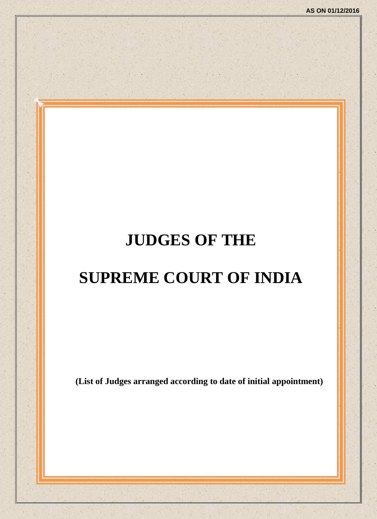# **JUDGES OF THE**

# **SUPREME COURT OF INDIA**

**(List of Judges arranged according to date of initial appointment)**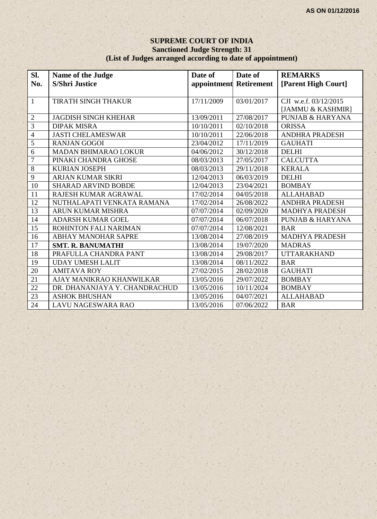#### **SUPREME COURT OF INDIA Sanctioned Judge Strength: 31 (List of Judges arranged according to date of appointment)**

| Sl.              | Name of the Judge             | Date of                | Date of    | <b>REMARKS</b>              |
|------------------|-------------------------------|------------------------|------------|-----------------------------|
| No.              | <b>S/Shri Justice</b>         | appointment Retirement |            | [Parent High Court]         |
|                  |                               |                        |            |                             |
| $\mathbf{1}$     | <b>TIRATH SINGH THAKUR</b>    | 17/11/2009             | 03/01/2017 | CJI w.e.f. 03/12/2015       |
|                  |                               |                        |            | [JAMMU & KASHMIR]           |
| $\sqrt{2}$       | <b>JAGDISH SINGH KHEHAR</b>   | 13/09/2011             | 27/08/2017 | <b>PUNJAB &amp; HARYANA</b> |
| $\overline{3}$   | <b>DIPAK MISRA</b>            | 10/10/2011             | 02/10/2018 | <b>ORISSA</b>               |
| $\overline{4}$   | <b>JASTI CHELAMESWAR</b>      | 10/10/2011             | 22/06/2018 | <b>ANDHRA PRADESH</b>       |
| 5                | <b>RANJAN GOGOI</b>           | 23/04/2012             | 17/11/2019 | <b>GAUHATI</b>              |
| 6                | <b>MADAN BHIMARAO LOKUR</b>   | 04/06/2012             | 30/12/2018 | <b>DELHI</b>                |
| $\boldsymbol{7}$ | PINAKI CHANDRA GHOSE          | 08/03/2013             | 27/05/2017 | <b>CALCUTTA</b>             |
| $\overline{8}$   | <b>KURIAN JOSEPH</b>          | 08/03/2013             | 29/11/2018 | <b>KERALA</b>               |
| 9                | <b>ARJAN KUMAR SIKRI</b>      | 12/04/2013             | 06/03/2019 | <b>DELHI</b>                |
| 10               | <b>SHARAD ARVIND BOBDE</b>    | 12/04/2013             | 23/04/2021 | <b>BOMBAY</b>               |
| 11               | RAJESH KUMAR AGRAWAL          | 17/02/2014             | 04/05/2018 | <b>ALLAHABAD</b>            |
| 12               | NUTHALAPATI VENKATA RAMANA    | 17/02/2014             | 26/08/2022 | <b>ANDHRA PRADESH</b>       |
| 13               | <b>ARUN KUMAR MISHRA</b>      | 07/07/2014             | 02/09/2020 | <b>MADHYA PRADESH</b>       |
| 14               | <b>ADARSH KUMAR GOEL</b>      | 07/07/2014             | 06/07/2018 | <b>PUNJAB &amp; HARYANA</b> |
| $\overline{15}$  | ROHINTON FALI NARIMAN         | 07/07/2014             | 12/08/2021 | <b>BAR</b>                  |
| 16               | <b>ABHAY MANOHAR SAPRE</b>    | 13/08/2014             | 27/08/2019 | <b>MADHYA PRADESH</b>       |
| 17               | <b>SMT. R. BANUMATHI</b>      | 13/08/2014             | 19/07/2020 | <b>MADRAS</b>               |
| 18               | PRAFULLA CHANDRA PANT         | 13/08/2014             | 29/08/2017 | <b>UTTARAKHAND</b>          |
| 19               | <b>UDAY UMESH LALIT</b>       | 13/08/2014             | 08/11/2022 | <b>BAR</b>                  |
| 20               | <b>AMITAVA ROY</b>            | 27/02/2015             | 28/02/2018 | <b>GAUHATI</b>              |
| 21               | AJAY MANIKRAO KHANWILKAR      | 13/05/2016             | 29/07/2022 | <b>BOMBAY</b>               |
| 22               | DR. DHANANJAYA Y. CHANDRACHUD | 13/05/2016             | 10/11/2024 | <b>BOMBAY</b>               |
| 23               | <b>ASHOK BHUSHAN</b>          | 13/05/2016             | 04/07/2021 | <b>ALLAHABAD</b>            |
| 24               | <b>LAVU NAGESWARA RAO</b>     | 13/05/2016             | 07/06/2022 | <b>BAR</b>                  |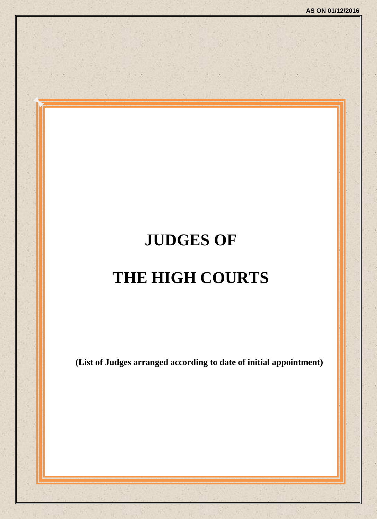# **JUDGES OF THE HIGH COURTS**

**(List of Judges arranged according to date of initial appointment)**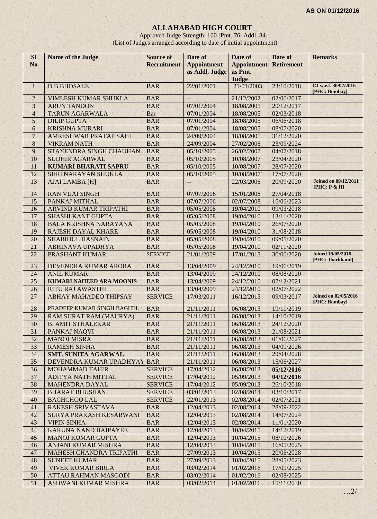# **ALLAHABAD HIGH COURT**

Approved Judge Strength: 160 [Pmt. 76 Addl. 84] (List of Judges arranged according to date of initial appointment)

| <b>SI</b>           | <b>Name of the Judge</b>                    | <b>Source of</b>                 | Date of                  | Date of                       | Date of                  | <b>Remarks</b>                               |
|---------------------|---------------------------------------------|----------------------------------|--------------------------|-------------------------------|--------------------------|----------------------------------------------|
| N <sub>o</sub>      |                                             | <b>Recruitment</b>               | <b>Appointment</b>       | <b>Appointment</b><br>as Pmt. | <b>Retirement</b>        |                                              |
|                     |                                             |                                  | as Addl. Judge           | Judge                         |                          |                                              |
| $\mathbf{1}$        | <b>D.B.BHOSALE</b>                          | <b>BAR</b>                       | 22/01/2001               | 21/01/2003                    | 23/10/2018               | CJ w.e.f. 30/07/2016                         |
|                     |                                             |                                  |                          |                               |                          | [PHC: Bombay]                                |
| $\overline{2}$<br>3 | <b>VIMLESH KUMAR SHUKLA</b>                 | <b>BAR</b><br><b>BAR</b>         | $--$<br>07/01/2004       | 21/12/2002<br>18/08/2005      | 02/06/2017<br>29/12/2017 |                                              |
| $\overline{4}$      | <b>ARUN TANDON</b><br><b>TARUN AGARWALA</b> | Bar                              | 07/01/2004               | 18/08/2005                    | 02/03/2018               |                                              |
| 5                   | <b>DILIP GUPTA</b>                          | <b>BAR</b>                       | 07/01/2004               | 18/08/2005                    | 06/06/2018               |                                              |
| $\overline{6}$      | <b>KRISHNA MURARI</b>                       | <b>BAR</b>                       | 07/01/2004               | 18/08/2005                    | 08/07/2020               |                                              |
| $\overline{7}$      | AMRESHWAR PRATAP SAHI                       | <b>BAR</b>                       | 24/09/2004               | 18/08/2005                    | 31/12/2020               |                                              |
| $\,8\,$             | <b>VIKRAM NATH</b>                          | <b>BAR</b>                       | 24/09/2004               | 27/02/2006                    | 23/09/2024               |                                              |
| 9                   | STAYENDRA SINGH CHAUHAN                     | <b>BAR</b>                       | 05/10/2005               | 26/02/2007                    | 04/07/2018               |                                              |
| 10                  | <b>SUDHIR AGARWAL</b>                       | <b>BAR</b>                       | 05/10/2005               | 10/08/2007                    | 23/04/2020               |                                              |
| 11                  | <b>KUMARI BHARATI SAPRU</b>                 | <b>BAR</b>                       | 05/10/2005               | 10/08/2007                    | 28/07/2020               |                                              |
| 12                  | <b>SHRI NARAYAN SHUKLA</b>                  | <b>BAR</b>                       | 05/10/2005               | 10/08/2007                    | 17/07/2020               |                                              |
| 13                  | <b>AJAI LAMBA [H]</b>                       | <b>BAR</b>                       | $\qquad \qquad -$        | 22/03/2006                    | 20/09/2020               | <b>Joined on 09/12/2011</b><br>[PHC: P & H]  |
| 14                  | <b>RAN VIJAI SINGH</b>                      | <b>BAR</b>                       | 07/07/2006               | 15/01/2008                    | 27/04/2018               |                                              |
| 15                  | PANKAJ MITHAL                               | <b>BAR</b>                       | 07/07/2006               | 02/07/2008                    | 16/06/2023               |                                              |
| 16                  | ARVIND KUMAR TRIPATHI                       | <b>BAR</b>                       | 05/05/2008               | 19/04/2010                    | 09/03/2018               |                                              |
| 17                  | SHASHI KANT GUPTA                           | <b>BAR</b>                       | 05/05/2008               | 19/04/2010                    | 13/11/2020               |                                              |
| 18                  | <b>BALA KRISHNA NARAYANA</b>                | <b>BAR</b>                       | 05/05/2008               | 19/04/2010                    | 26/07/2020               |                                              |
| 19                  | <b>RAJESH DAYAL KHARE</b>                   | <b>BAR</b>                       | 05/05/2008               | 19/04/2010                    | 31/08/2018               |                                              |
| 20                  | <b>SHABIHUL HASNAIN</b>                     | <b>BAR</b>                       | 05/05/2008               | 19/04/2010                    | 09/01/2020               |                                              |
| 21                  | <b>ABHINAVA UPADHYA</b>                     | <b>BAR</b>                       | 05/05/2008               | 19/04/2010                    | 02/11/2020               |                                              |
| 22                  | PRASHANT KUMAR                              | <b>SERVICE</b>                   | 21/01/2009               | 17/01/2013                    | 30/06/2020               | <b>Joined 19/05/2016</b><br>[PHC: Jharkhand] |
| 23                  | DEVENDRA KUMAR ARORA                        | <b>BAR</b>                       | 13/04/2009               | 24/12/2010                    | 19/06/2019               |                                              |
| 24                  | <b>ANIL KUMAR</b>                           | <b>BAR</b>                       | 13/04/2009               | 24/12/2010                    | 08/08/2020               |                                              |
| 25                  | <b>KUMARI NAHEED ARA MOONIS</b>             | <b>BAR</b>                       | 13/04/2009               | 24/12/2010                    | 07/12/2021               |                                              |
| 26                  | <b>RITU RAJ AWASTHI</b>                     | <b>BAR</b>                       | 13/04/2009               | 24/12/2010                    | 02/07/2022               |                                              |
| 27                  | ABHAY MAHADEO THIPSAY                       | <b>SERVICE</b>                   | 17/03/2011               | 16/12/2013                    | 09/03/2017               | <b>Joined on 02/05/2016</b><br>[PHC: Bombay] |
| 28                  | PRADEEP KUMAR SINGH BAGHEL                  | <b>BAR</b>                       | 21/11/2011<br>×          | 06/08/2013                    | 19/11/2019               |                                              |
| 29                  | <b>RAM SURAT RAM (MAURYA)</b>               | <b>BAR</b>                       | 21/11/2011               | 06/08/2013                    | 14/10/2019               |                                              |
| 30                  | <b>B. AMIT STHALEKAR</b>                    | <b>BAR</b>                       | 21/11/2011               | 06/08/2013                    | 24/12/2020               |                                              |
| 31                  | PANKAJ NAQVI                                | <b>BAR</b>                       | 21/11/2011               | 06/08/2013                    | 21/08/2021               |                                              |
| 32                  | <b>MANOJ MISRA</b>                          | <b>BAR</b>                       | 21/11/2011               | 06/08/2013                    | 01/06/2027               |                                              |
| 33                  | <b>RAMESH SINHA</b>                         | <b>BAR</b>                       | 21/11/2011               | 06/08/2013                    | 04/09/2026               |                                              |
| 34                  | <b>SMT. SUNITA AGARWAL</b>                  | <b>BAR</b>                       | 21/11/2011               | 06/08/2013                    | 29/04/2028               |                                              |
| 35                  | DEVENDRA KUMAR UPADHYAY                     | <b>BAR</b>                       | 21/11/2011               | 06/08/2013                    | 15/06/2027               |                                              |
| 36                  | <b>MOHAMMAD TAHIR</b>                       | <b>SERVICE</b>                   | 17/04/2012               | 06/08/2013                    | 05/12/2016               |                                              |
| 37<br>38            | ADITYA NATH MITTAL                          | <b>SERVICE</b>                   | 17/04/2012               | 05/09/2013                    | 04/12/2016               |                                              |
| 39                  | MAHENDRA DAYAL<br><b>BHARAT BHUSHAN</b>     | <b>SERVICE</b><br><b>SERVICE</b> | 17/04/2012<br>03/01/2013 | 05/09/2013<br>02/08/2014      | 26/10/2018               |                                              |
| 40                  | <b>BACHCHOO LAL</b>                         | <b>SERVICE</b>                   | 22/01/2013               | 02/08/2014                    | 03/10/2017<br>02/07/2021 |                                              |
| 41                  | RAKESH SRIVASTAVA                           | <b>BAR</b>                       | 12/04/2013               | 02/08/2014                    | 28/09/2022               |                                              |
| 42                  | SURYA PRAKASH KESARWANI                     | <b>BAR</b>                       | 12/04/2013               | 02/08/2014                    | 14/07/2024               |                                              |
| 43                  | <b>VIPIN SINHA</b>                          | <b>BAR</b>                       | 12/04/2013               | 02/08/2014                    | 11/01/2020               |                                              |
| 44                  | KARUNA NAND BAJPAYEE                        | <b>BAR</b>                       | 12/04/2013               | 10/04/2015                    | 14/12/2019               |                                              |
| 45                  | <b>MANOJ KUMAR GUPTA</b>                    | <b>BAR</b>                       | 12/04/2013               | 10/04/2015                    | 08/10/2026               |                                              |
| 46                  | ANJANI KUMAR MISHRA                         | <b>BAR</b>                       | 12/04/2013               | 10/04/2015                    | 16/05/2025               |                                              |
| 47                  | MAHESH CHANDRA TRIPATHI                     | <b>BAR</b>                       | 27/09/2013               | 10/04/2015                    | 20/06/2028               |                                              |
| 48                  | <b>SUNEET KUMAR</b>                         | <b>BAR</b>                       | 27/09/2013               | 10/04/2015                    | 28/05/2023               |                                              |
| 49                  | <b>VIVEK KUMAR BIRLA</b>                    | <b>BAR</b>                       | 03/02/2014               | 01/02/2016                    | 17/09/2025               |                                              |
| 50                  | <b>ATTAU RAHMAN MASOODI</b>                 | <b>BAR</b>                       | 03/02/2014               | 01/02/2016                    | 02/08/2025               |                                              |
| 51                  | ASHWANI KUMAR MISHRA                        | <b>BAR</b>                       | 03/02/2014               | 01/02/2016                    | 15/11/2030               |                                              |
|                     |                                             |                                  |                          |                               |                          | $2/-$                                        |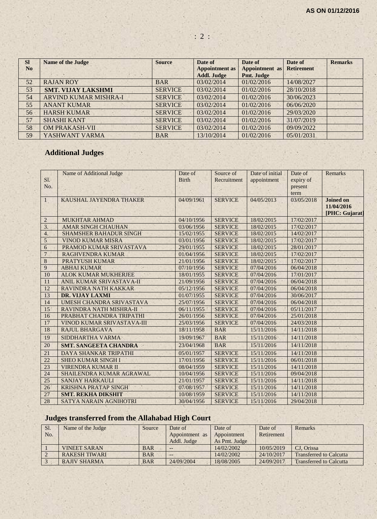| <b>SI</b>      | <b>Name of the Judge</b>  | <b>Source</b>  | Date of               | Date of               | Date of           | <b>Remarks</b> |
|----------------|---------------------------|----------------|-----------------------|-----------------------|-------------------|----------------|
| N <sub>o</sub> |                           |                | <b>Appointment as</b> | <b>Appointment</b> as | <b>Retirement</b> |                |
|                |                           |                | <b>Addl. Judge</b>    | Pmt. Judge            |                   |                |
| 52             | <b>RAJAN ROY</b>          | <b>BAR</b>     | 03/02/2014            | 01/02/2016            | 14/08/2027        |                |
| 53             | <b>SMT. VIJAY LAKSHMI</b> | <b>SERVICE</b> | 03/02/2014            | 01/02/2016            | 28/10/2018        |                |
| 54             | ARVIND KUMAR MISHRA-I     | <b>SERVICE</b> | 03/02/2014            | 01/02/2016            | 30/06/2023        |                |
| 55             | <b>ANANT KUMAR</b>        | <b>SERVICE</b> | 03/02/2014            | 01/02/2016            | 06/06/2020        |                |
| 56             | <b>HARSH KUMAR</b>        | <b>SERVICE</b> | 03/02/2014            | 01/02/2016            | 29/03/2020        |                |
| 57             | <b>SHASHI KANT</b>        | <b>SERVICE</b> | 03/02/2014            | 01/02/2016            | 31/07/2019        |                |
| 58             | <b>OM PRAKASH-VII</b>     | <b>SERVICE</b> | 03/02/2014            | 01/02/2016            | 09/09/2022        |                |
| 59             | YASHWANT VARMA            | <b>BAR</b>     | 13/10/2014            | 01/02/2016            | 05/01/2031        |                |

# **Additional Judges**

| SI.<br>No.       | Name of Additional Judge      | Date of<br><b>Birth</b> | Source of<br>Recruitment | Date of initial<br>appointment | Date of<br>expiry of<br>present<br>term | <b>Remarks</b>                                   |
|------------------|-------------------------------|-------------------------|--------------------------|--------------------------------|-----------------------------------------|--------------------------------------------------|
| $\mathbf{1}$     | KAUSHAL JAYENDRA THAKER       | 04/09/1961              | <b>SERVICE</b>           | 04/05/2013                     | 03/05/2018                              | <b>Joined on</b><br>11/04/2016<br>[PHC: Gujarat] |
| $\overline{2}$   | <b>MUKHTAR AHMAD</b>          | 04/10/1956              | <b>SERVICE</b>           | 18/02/2015                     | 17/02/2017                              |                                                  |
| $\overline{3}$ . | <b>AMAR SINGH CHAUHAN</b>     | 03/06/1956              | <b>SERVICE</b>           | 18/02/2015                     | 17/02/2017                              |                                                  |
| 4.               | <b>SHAMSHER BAHADUR SINGH</b> | 15/02/1955              | <b>SERVICE</b>           | 18/02/2015                     | 14/02/2017                              |                                                  |
| 5                | <b>VINOD KUMAR MISRA</b>      | 03/01/1956              | <b>SERVICE</b>           | 18/02/2015                     | 17/02/2017                              |                                                  |
| 6                | PRAMOD KUMAR SRIVASTAVA       | 29/01/1955              | <b>SERVICE</b>           | 18/02/2015                     | 28/01/2017                              |                                                  |
| $\overline{7}$   | <b>RAGHVENDRA KUMAR</b>       | 01/04/1956              | <b>SERVICE</b>           | 18/02/2015                     | 17/02/2017                              |                                                  |
| $\overline{8}$   | <b>PRATYUSH KUMAR</b>         | 21/01/1956              | <b>SERVICE</b>           | 18/02/2015                     | 17/02/2017                              |                                                  |
| 9                | <b>ABHAI KUMAR</b>            | 07/10/1956              | <b>SERVICE</b>           | 07/04/2016                     | 06/04/2018                              |                                                  |
| 10               | <b>ALOK KUMAR MUKHERJEE</b>   | 18/01/1955              | <b>SERVICE</b>           | 07/04/2016                     | 17/01/2017                              |                                                  |
| 11               | ANIL KUMAR SRIVASTAVA-II      | 21/09/1956              | <b>SERVICE</b>           | 07/04/2016                     | 06/04/2018                              |                                                  |
| 12               | RAVINDRA NATH KAKKAR          | 05/12/1956              | <b>SERVICE</b>           | 07/04/2016                     | 06/04/2018                              |                                                  |
| 13               | DR. VIJAY LAXMI               | 01/07/1955              | <b>SERVICE</b>           | 07/04/2016                     | 30/06/2017                              |                                                  |
| 14               | UMESH CHANDRA SRIVASTAVA      | 25/07/1956              | <b>SERVICE</b>           | 07/04/2016                     | 06/04/2018                              |                                                  |
| 15               | RAVINDRA NATH MISHRA-II       | 06/11/1955              | <b>SERVICE</b>           | 07/04/2016                     | 05/11/2017                              |                                                  |
| 16               | PRABHAT CHANDRA TRIPATHI      | 26/01/1956              | <b>SERVICE</b>           | 07/04/2016                     | 25/01/2018                              |                                                  |
| 17               | VINOD KUMAR SRIVASTAVA-III    | 25/03/1956              | <b>SERVICE</b>           | 07/04/2016                     | 24/03/2018                              |                                                  |
| 18               | <b>RAJUL BHARGAVA</b>         | 18/11/1958              | <b>BAR</b>               | 15/11/2016                     | 14/11/2018                              | $\mathcal{A}_\mathrm{c}$                         |
| 19               | SIDDHARTHA VARMA              | 19/09/1967              | <b>BAR</b>               | 15/11/2016                     | 14/11/2018                              |                                                  |
| 20               | <b>SMT. SANGEETA CHANDRA</b>  | 23/04/1968              | <b>BAR</b>               | 15/11/2016                     | 14/11/2018                              |                                                  |
| 21               | <b>DAYA SHANKAR TRIPATHI</b>  | 05/01/1957              | <b>SERVICE</b>           | 15/11/2016                     | 14/11/2018                              |                                                  |
| 22               | <b>SHEO KUMAR SINGH I</b>     | 17/01/1956              | <b>SERVICE</b>           | 15/11/2016                     | 06/01/2018                              |                                                  |
| 23               | <b>VIRENDRA KUMAR II</b>      | 08/04/1959              | <b>SERVICE</b>           | 15/11/2016                     | 14/11/2018                              |                                                  |
| 24               | SHAILENDRA KUMAR AGRAWAL      | 10/04/1956              | <b>SERVICE</b>           | 15/11/2016                     | 09/04/2018                              |                                                  |
| 25               | <b>SANJAY HARKAULI</b>        | 21/01/1957              | <b>SERVICE</b>           | 15/11/2016                     | 14/11/2018                              |                                                  |
| 26               | <b>KRISHNA PRATAP SINGH</b>   | 07/08/1957              | <b>SERVICE</b>           | 15/11/2016                     | 14/11/2018                              |                                                  |
| 27               | <b>SMT. REKHA DIKSHIT</b>     | 10/08/1959              | <b>SERVICE</b>           | 15/11/2016                     | 14/11/2018                              |                                                  |
| 28               | <b>SATYA NARAIN AGNIHOTRI</b> | 30/04/1956              | <b>SERVICE</b>           | 15/11/2016                     | 29/04/2018                              |                                                  |

# **Judges transferred from the Allahabad High Court**

| Sl. | Name of the Judge    | Source     | Date of        | Date of       | Date of    | Remarks                        |
|-----|----------------------|------------|----------------|---------------|------------|--------------------------------|
| No. |                      |            | Appointment as | Appointment   | Retirement |                                |
|     |                      |            | Addl. Judge    | As Pmt. Judge |            |                                |
|     | <b>VINEET SARAN</b>  | <b>BAR</b> | $- -$          | 14/02/2002    | 10/05/2019 | CJ. Orissa                     |
|     | <b>RAKESH TIWARI</b> | <b>BAR</b> | $- -$          | 14/02/2002    | 24/10/2017 | <b>Transferred to Calcutta</b> |
|     | RAJIV SHARMA         | <b>BAR</b> | 24/09/2004     | 18/08/2005    | 24/09/2017 | <b>Transferred to Calcutta</b> |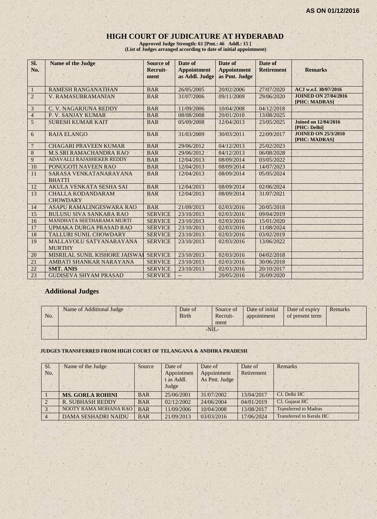#### **HIGH COURT OF JUDICATURE AT HYDERABAD**

**Approved Judge Strength: 61 [Pmt.: 46 Addl.: 15 ] (List of Judges arranged according to date of initial appointment)**

| Sl.<br>No.              | <b>Name of the Judge</b>                    | <b>Source of</b><br>Recruit-<br>ment | Date of<br><b>Appointment</b><br>as Addl. Judge | Date of<br><b>Appointment</b><br>as Pmt. Judge | Date of<br><b>Retirement</b> | <b>Remarks</b>                               |
|-------------------------|---------------------------------------------|--------------------------------------|-------------------------------------------------|------------------------------------------------|------------------------------|----------------------------------------------|
| $\mathbf{1}$            | <b>RAMESH RANGANATHAN</b>                   | <b>BAR</b>                           | 26/05/2005                                      | 20/02/2006                                     | 27/07/2020                   | ACJ w.e.f. 30/07/2016                        |
| $\sqrt{2}$              | <b>V. RAMASUBRAMANIAN</b>                   | <b>BAR</b>                           | 31/07/2006                                      | 09/11/2009                                     | 29/06/2020                   | <b>JOINED ON 27/04/2016</b><br>[PHC: MADRAS] |
| $\overline{\mathbf{3}}$ | C. V. NAGARJUNA REDDY                       | <b>BAR</b>                           | 11/09/2006                                      | 10/04/2008                                     | 04/12/2018                   |                                              |
| $\overline{4}$          | P. V. SANJAY KUMAR                          | <b>BAR</b>                           | 08/08/2008                                      | 20/01/2010                                     | 13/08/2025                   |                                              |
| 5                       | <b>SURESH KUMAR KAIT</b>                    | <b>BAR</b>                           | 05/09/2008                                      | 12/04/2013                                     | 23/05/2025                   | <b>Joined on 12/04/2016</b><br>[PHC: Delhi]  |
| 6                       | <b>RAJA ELANGO</b>                          | <b>BAR</b>                           | 31/03/2009                                      | 30/03/2011                                     | 22/09/2017                   | <b>JOINED ON 25/3/2010</b><br>[PHC: MADRAS]  |
| $\overline{7}$          | <b>CHAGARI PRAVEEN KUMAR</b>                | <b>BAR</b>                           | 29/06/2012                                      | 04/12/2013                                     | 25/02/2023                   |                                              |
| $8\,$                   | <b>M.S.SRI RAMACHANDRA RAO</b>              | <b>BAR</b>                           | 29/06/2012                                      | 04/12/2013                                     | 06/08/2028                   |                                              |
| 9                       | ADAVALLI RAJASHEKER REDDY                   | <b>BAR</b>                           | 12/04/2013                                      | 08/09/2014                                     | 03/05/2022                   |                                              |
| 10                      | PONUGOTI NAVEEN RAO                         | <b>BAR</b>                           | 12/04/2013                                      | 08/09/2014                                     | 14/07/2023                   |                                              |
| 11                      | SARASA VENKATANARAYANA<br><b>BHATTI</b>     | <b>BAR</b>                           | 12/04/2013                                      | 08/09/2014                                     | 05/05/2024                   |                                              |
| 12                      | <b>AKULA VENKATA SESHA SAI</b>              | <b>BAR</b>                           | 12/04/2013                                      | 08/09/2014                                     | 02/06/2024                   |                                              |
| 13                      | <b>CHALLA KODANDARAM</b><br><b>CHOWDARY</b> | <b>BAR</b>                           | 12/04/2013                                      | 08/09/2014                                     | 31/07/2021                   |                                              |
| 14                      | ASAPU RAMALINGESWARA RAO                    | <b>BAR</b>                           | 21/09/2013                                      | 02/03/2016                                     | 20/05/2018                   |                                              |
| 15                      | <b>BULUSU SIVA SANKARA RAO</b>              | <b>SERVICE</b>                       | 23/10/2013                                      | 02/03/2016                                     | 09/04/2019                   |                                              |
| 16                      | MANDHATA SEETHARAMA MURTI                   | <b>SERVICE</b>                       | 23/10/2013                                      | 02/03/2016                                     | 15/01/2020                   |                                              |
| 17                      | UPMAKA DURGA PRASAD RAO                     | <b>SERVICE</b>                       | 23/10/2013                                      | 02/03/2016                                     | 11/08/2024                   |                                              |
| 18                      | TALLURI SUNIL CHOWDARY                      | <b>SERVICE</b>                       | 23/10/2013                                      | 02/03/2016                                     | 03/02/2019                   |                                              |
| 19                      | MALLAVOLU SATYANARAYANA<br><b>MURTHY</b>    | <b>SERVICE</b>                       | 23/10/2013                                      | 02/03/2016                                     | 13/06/2022                   |                                              |
| 20                      | MISRILAL SUNIL KISHORE JAISWAI              | <b>SERVICE</b>                       | 23/10/2013                                      | 02/03/2016                                     | 04/02/2018                   |                                              |
| 21                      | AMBATI SHANKAR NARAYANA                     | <b>SERVICE</b>                       | 23/10/2013                                      | 02/03/2016                                     | 30/06/2018                   |                                              |
| 22                      | <b>SMT. ANIS</b>                            | <b>SERVICE</b>                       | 23/10/2013                                      | 02/03/2016                                     | 20/10/2017                   |                                              |
| 23                      | <b>GUDISEVA SHYAM PRASAD</b>                | <b>SERVICE</b>                       | $--$                                            | 20/05/2016                                     | 26/09/2020                   |                                              |

#### **Additional Judges**

| No. | Name of Additional Judge | Date of<br><b>Birth</b> | Source of<br>Recruit-<br>ment | Date of initial Date of expiry<br>appointment | of present term | Remarks |  |
|-----|--------------------------|-------------------------|-------------------------------|-----------------------------------------------|-----------------|---------|--|
|     |                          |                         | $-NII$                        |                                               |                 |         |  |
|     |                          |                         |                               |                                               |                 |         |  |

#### **JUDGES TRANSFERRED FROM HIGH COURT OF TELANGANA & ANDHRA PRADESH**

| Sl.<br>No.     | Name of the Judge          | Source     | Date of<br>Appointmen<br>t as Addl.<br>Judge | Date of<br>Appointment<br>As Pmt. Judge | Date of<br>Retirement | Remarks                      |
|----------------|----------------------------|------------|----------------------------------------------|-----------------------------------------|-----------------------|------------------------------|
|                | <b>MS. GORLA ROHINI</b>    | <b>BAR</b> | 25/06/2001                                   | 31/07/2002                              | 13/04/2017            | CJ, Delhi HC                 |
| $\overline{2}$ | <b>R. SUBHASH REDDY</b>    | <b>BAR</b> | 02/12/2002                                   | 24/06/2004                              | 04/01/2019            | CJ, Gujarat HC               |
| 3              | NOOTY RAMA MOHANA RAO      | <b>BAR</b> | 11/09/2006                                   | 10/04/2008                              | 13/08/2017            | <b>Transferred to Madras</b> |
| $\overline{4}$ | <b>DAMA SESHADRI NAIDU</b> | <b>BAR</b> | 21/09/2013                                   | 03/03/2016                              | 17/06/2024            | Transferred to Kerala HC     |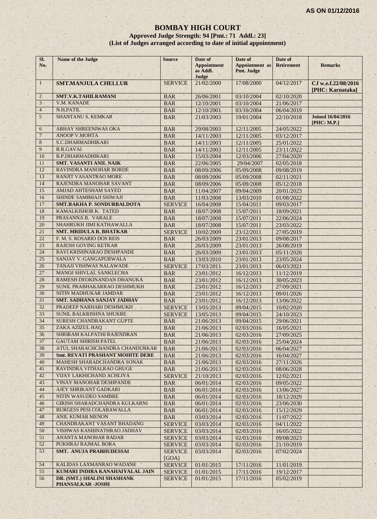#### **BOMBAY HIGH COURT**

#### **Approved Judge Strength: 94 [Pmt.: 71 Addl.: 23] (List of Judges arranged according to date of initial appointment)**

| SI.<br>No.     | <b>Name of the Judge</b>                                      | <b>Source</b>            | Date of<br><b>Appointment</b><br>as Addl.<br>Judge | Date of<br><b>Appointment</b> as<br>Pmt. Judge | Date of<br><b>Retirement</b> | <b>Remarks</b>                          |
|----------------|---------------------------------------------------------------|--------------------------|----------------------------------------------------|------------------------------------------------|------------------------------|-----------------------------------------|
| $\mathbf{1}$   | <b>SMT.MANJULA CHELLUR</b>                                    | <b>SERVICE</b>           | 21/02/2000                                         | 17/08/2000                                     | 04/12/2017                   | CJ w.e.f.22/08/2016<br>[PHC: Karnataka] |
| $\overline{2}$ | SMT.V.K.TAHILRAMANI                                           | <b>BAR</b>               | 26/06/2001                                         | 03/10/2004                                     | 02/10/2020                   |                                         |
| 3              | V.M. KANADE                                                   | <b>BAR</b>               | 12/10/2001                                         | 03/10/2004                                     | 21/06/2017                   |                                         |
| $\overline{4}$ | N.H.PATIL                                                     | <b>BAR</b>               | 12/10/2001                                         | 03/10/2004                                     | 06/04/2019                   |                                         |
| 5              | <b>SHANTANU S. KEMKAR</b>                                     | <b>BAR</b>               | 21/03/2003                                         | 19/01/2004                                     | 22/10/2018                   | <b>Joined 16/04/2016</b><br>[PHC: M.P.] |
| 6              | ABHAY SHREENIWAS OKA                                          | <b>BAR</b>               | 29/08/2003                                         | 12/11/2005                                     | 24/05/2022                   |                                         |
| 7              | <b>ANOOP V.MOHTA</b>                                          | <b>BAR</b>               | 14/11/2003                                         | 12/11/2005                                     | 03/12/2017                   |                                         |
| 8              | S.C.DHARMADHIKARI                                             | <b>BAR</b>               | 14/11/2003                                         | 12/11/2005                                     | 25/01/2022                   |                                         |
| 9              | <b>B.R.GAVAI</b>                                              | <b>BAR</b>               | 14/11/2003                                         | 12/11/2005                                     | 23/11/2022                   |                                         |
| 10             | <b>B.P.DHARMADHIKARI</b>                                      | <b>BAR</b>               | 15/03/2004                                         | 12/03/2006                                     | 27/04/2020                   |                                         |
| 11             | <b>SMT. VASANTI ANIL NAIK</b>                                 | <b>BAR</b>               | 22/06/2005                                         | 29/04/2007                                     | 02/05/2018                   |                                         |
| 12             | RAVINDRA MANOHAR BORDE                                        | <b>BAR</b>               | 08/09/2006                                         | 05/09/2008                                     | 09/08/2019                   |                                         |
| 13             | RANJIT VASANTRAO MORE                                         | <b>BAR</b>               | 08/09/2006                                         | 05/09/2008                                     | 02/11/2021                   |                                         |
| 14             | RAJENDRA MANOHAR SAVANT                                       | <b>BAR</b>               | 08/09/2006                                         | 05/09/2008                                     | 05/12/2018                   |                                         |
| 15             | AMJAD AHTESHAM SAYED                                          | <b>BAR</b>               | 11/04/2007                                         | 09/04/2009                                     | 20/01/2023                   |                                         |
| 16             | SHINDE SAMBHAJI SHIWAJI                                       | <b>BAR</b>               | 11/03/2008                                         | 13/03/2010                                     | 01/08/2022                   |                                         |
| 17             | <b>SMT.RAKHA P. SONDURBALDOTA</b>                             | <b>SERVICE</b>           | 16/04/2008                                         | 15/04/2011                                     | 09/03/2017                   |                                         |
| 18             | KAMALKISHOR K. TATED                                          | <b>BAR</b>               | 18/07/2008                                         | 15/07/2011                                     | 18/09/2021                   |                                         |
| 19             | PRASANNA B. VARALE                                            | <b>BAR</b>               | 18/07/2008                                         | 15/07/2011                                     | 22/06/2024                   |                                         |
| 20             | SHAHRUKH JIMI KATHAWALLA                                      | <b>BAR</b>               | 18/07/2008                                         | 15/07/2011                                     | 23/03/2022                   |                                         |
| 21             | <b>SMT. MRIDULA R. BHATKAR</b>                                | <b>SERVICE</b>           | 10/02/2009                                         | 23/12/2011                                     | 27/05/2019                   |                                         |
| 22             | F. M. S. ROSARIO DOS REIS                                     | <b>BAR</b>               | 26/03/2009                                         | 23/01/2013                                     | 09/08/2017                   |                                         |
| 23             | <b>RAJESH GOVING KETKAR</b>                                   | <b>BAR</b>               | 26/03/2009                                         | 23/01/2013                                     | 26/08/2019                   |                                         |
| 24             | RAVI KRISHNARAO DESHPANDE                                     | <b>BAR</b>               | 26/03/2009                                         | 23/01/2013                                     | 05/11/2020                   |                                         |
| 25             | SANJAY V. GANGAPURWALA                                        | <b>BAR</b>               | 13/03/2010                                         | 23/01/2013                                     | 23/05/2024                   |                                         |
| 26             | TANAJI VISHWAS NALAWADE                                       | <b>SERVICE</b>           | 17/03/2011                                         | 23/01/2013                                     | 06/03/2021                   |                                         |
| 27             | <b>MANOJ SHIVLAL SANKLECHA</b>                                | <b>BAR</b>               | 23/01/2012                                         | 16/12/2013                                     | 11/12/2019                   |                                         |
| 28             | RAMESH DEOKINANDAN DHANUKA                                    | <b>BAR</b>               | 23/01/2012                                         | 16/12/2013                                     | 30/05/2023                   |                                         |
| 29             | SUNIL PRABHAKARRAO DESHMUKH                                   | <b>BAR</b>               | 23/01/2012                                         | 16/12/2013                                     | 27/09/2021                   |                                         |
| 30             | NITIN MADHUKAR JAMDAR                                         | <b>BAR</b>               | 23/01/2012                                         | 16/12/2013                                     | 09/01/2026                   |                                         |
| 31<br>32       | <b>SMT. SADHANA SANJAY JADHAV</b><br>PRADEEP NARHARI DESHMUKH | <b>BAR</b>               | 23/01/2012                                         | 16/12/2013                                     | 13/06/2022                   |                                         |
|                |                                                               | <b>SERVICE</b>           | 13/05/2013                                         | 09/04/2015                                     | 10/02/2020                   |                                         |
| 33<br>34       | <b>SUNIL BALKRISHNA SHUKRE</b><br>SURESH CHANDRAKANT GUPTE    | <b>SERVICE</b>           | 13/05/2013                                         | 09/04/2015                                     | 24/10/2023                   |                                         |
| 35             | ZAKA AZIZUL HAQ                                               | <b>BAR</b>               | 21/06/2013                                         | 09/04/2015                                     | 29/06/2021                   |                                         |
| 36             | SHRIRAM KALPATHI RAJENDRAN                                    | <b>BAR</b><br>×.         | 21/06/2013                                         | 02/03/2016                                     | 16/05/2021                   | $\mathbf{q}_i$                          |
| 37             | <b>GAUTAM SHIRISH PATEL</b>                                   | <b>BAR</b>               | 21/06/2013                                         | 02/03/2016                                     | 27/09/2025                   |                                         |
| 38             | ATUL SHARACHCHANDRA CHANDURKAR                                | <b>BAR</b>               | 21/06/2013                                         | 02/03/2016                                     | 25/04/2024                   |                                         |
| 39             | <b>Smt. REVATI PRASHANT MOHITE DERE</b>                       | <b>BAR</b>               | 21/06/2013                                         | 02/03/2016                                     | 06/04/2027                   |                                         |
| 40             | MAHESH SHARADCHANDRA SONAK                                    | <b>BAR</b>               | 21/06/2013                                         | 02/03/2016                                     | 16/04/2027                   |                                         |
| 41             | RAVINDRA VITHALRAO GHUGE                                      | <b>BAR</b><br><b>BAR</b> | 21/06/2013<br>21/06/2013                           | 02/03/2016<br>02/03/2016                       | 27/11/2026<br>08/06/2028     |                                         |
| 42             | VIJAY LAKHICHAND ACHLIYA                                      | <b>SERVICE</b>           | 21/10/2013                                         | 02/03/2016                                     | 12/02/2021                   |                                         |
| 43             | VINAY MANOHAR DESHPANDE                                       | <b>BAR</b>               | 06/01/2014                                         | 02/03/2016                                     | 09/05/2022                   |                                         |
| 44             | AJEY SHRIKANT GADKARI                                         | <b>BAR</b>               | 06/01/2014                                         | 02/03/2016                                     | 13/06/2027                   |                                         |
| 45             | NITIN WASUDEO SAMBRE                                          | <b>BAR</b>               | 06/01/2014                                         | 02/03/2016                                     | 18/12/2029                   |                                         |
| 46             | <b>GIRISH SHARADCHANDRA KULKARNI</b>                          | <b>BAR</b>               | 06/01/2014                                         | 02/03/2016                                     | 23/06/2030                   |                                         |
| 47             | <b>BURGESS PESI COLABAWALLA</b>                               | <b>BAR</b>               | 06/01/2014                                         | 02/03/2016                                     | 15/12/2029                   |                                         |
| 48             | <b>ANIL KUMAR MENON</b>                                       | <b>BAR</b>               | 03/03/2014                                         | 02/03/2016                                     | 11/07/2022                   |                                         |
| 49             | <b>CHANDRAKANT VASANT BHADANG</b>                             | <b>SERVICE</b>           | 03/03/2014                                         | 02/03/2016                                     | 04/11/2022                   |                                         |
| 50             | VISHWAS KASHINATHRAO JADHAV                                   | <b>SERVICE</b>           | 03/03/2014                                         | 02/03/2016                                     | 16/05/2022                   |                                         |
| 51             | ANANTA MANOHAR BADAR                                          | <b>SERVICE</b>           | 03/03/2014                                         | 02/03/2016                                     | 09/08/2023                   |                                         |
| 52             | PUKHRAJ RAJMAL BORA                                           | <b>SERVICE</b>           | 03/03/2014                                         | 02/03/2016                                     | 21/10/2019                   |                                         |
| 53             | SMT. ANUJA PRABHUDESSAI                                       | <b>SERVICE</b>           | 03/03/2014                                         | 02/03/2016                                     | 07/02/2024                   |                                         |
|                |                                                               | [GOA]                    |                                                    |                                                |                              |                                         |
| 54             | KALIDAS LAXMANRAO WADANE                                      | <b>SERVICE</b>           | 01/01/2015                                         | 17/11/2016                                     | 11/01/2019                   |                                         |
| 55             | KUMARI INDIRA KANAHAIYALAL JAIN                               | <b>SERVICE</b>           | 01/01/2015                                         | 17/11/2016                                     | 19/12/2017                   |                                         |
| 56             | DR. (SMT.) SHALINI SHASHANK<br>PHANSALKAR-JOSHI               | <b>SERVICE</b>           | 01/01/2015                                         | 17/11/2016                                     | 05/02/2019                   |                                         |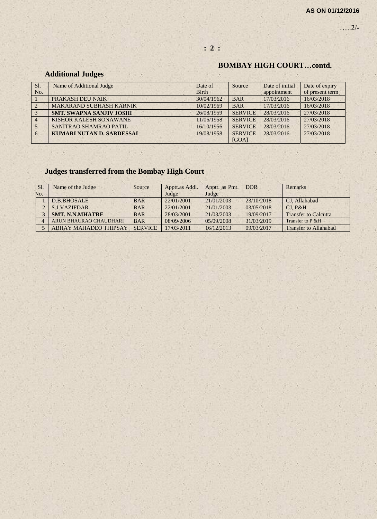…..2/-

# **BOMBAY HIGH COURT…contd.**

# **Additional Judges**

| Sl. | Name of Additional Judge        | Date of      | Source         | Date of initial | Date of expiry  |
|-----|---------------------------------|--------------|----------------|-----------------|-----------------|
| No. |                                 | <b>Birth</b> |                | appointment     | of present term |
|     | PRAKASH DEU NAIK                | 30/04/1962   | <b>BAR</b>     | 17/03/2016      | 16/03/2018      |
|     | <b>MAKARAND SUBHASH KARNIK</b>  | 10/02/1969   | <b>BAR</b>     | 17/03/2016      | 16/03/2018      |
|     | <b>SMT. SWAPNA SANJIV JOSHI</b> | 26/08/1959   | <b>SERVICE</b> | 28/03/2016      | 27/03/2018      |
|     | KISHOR KALESH SONAWANE          | 11/06/1958   | <b>SERVICE</b> | 28/03/2016      | 27/03/2018      |
|     | SANITRAO SHAMRAO PATIL          | 16/10/1956   | <b>SERVICE</b> | 28/03/2016      | 27/03/2018      |
| 6   | KUMARI NUTAN D. SARDESSAI       | 19/08/1958   | <b>SERVICE</b> | 28/03/2016      | 27/03/2018      |
|     |                                 |              | [GOA]          |                 |                 |

# **Judges transferred from the Bombay High Court**

| Sl. | Name of the Judge            | Source         | Apptt.as Addl. | Apptt. as Pmt. | <b>DOR</b> | Remarks                     |
|-----|------------------------------|----------------|----------------|----------------|------------|-----------------------------|
| No. |                              |                | Judge          | Judge          |            |                             |
|     | D.B.BHOSALE                  | <b>BAR</b>     | 22/01/2001     | 21/01/2003     | 23/10/2018 | CJ, Allahabad               |
|     | <b>S.J.VAZIFDAR</b>          | <b>BAR</b>     | 22/01/2001     | 21/01/2003     | 03/05/2018 | CI. P&H                     |
|     | <b>SMT. N.N.MHATRE</b>       | <b>BAR</b>     | 28/03/2001     | 21/03/2003     | 19/09/2017 | <b>Transfer to Calcutta</b> |
|     | ARUN BHAURAO CHAUDHARI       | <b>BAR</b>     | 08/09/2006     | 05/09/2008     | 31/03/2019 | Transfer to P & H           |
|     | <b>ABHAY MAHADEO THIPSAY</b> | <b>SERVICE</b> | 17/03/2011     | 16/12/2013     | 09/03/2017 | Transfer to Allahabad       |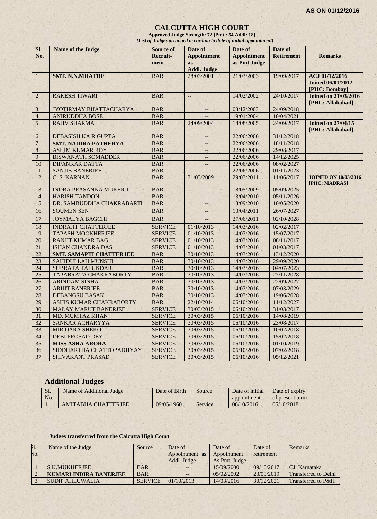#### **CALCUTTA HIGH COURT**

**Approved Judge Strength: 72 [Pmt.: 54 Addl: 18]** *(List of Judges arranged according to date of initial appointment)*

| SI.<br>No.       | <b>Name of the Judge</b>       | <b>Source of</b><br><b>Recruit-</b><br>ment | Date of<br><b>Appointment</b><br><b>as</b><br><b>Addl. Judge</b> | Date of<br><b>Appointment</b><br>as Pmt.Judge | Date of<br><b>Retirement</b> | <b>Remarks</b>                                              |
|------------------|--------------------------------|---------------------------------------------|------------------------------------------------------------------|-----------------------------------------------|------------------------------|-------------------------------------------------------------|
| $\mathbf{1}$     | <b>SMT. N.N.MHATRE</b>         | <b>BAR</b>                                  | 28/03/2001<br>$\mathcal{N}$                                      | 21/03/2003                                    | 19/09/2017                   | ACJ 01/12/2016<br><b>Joined 06/01/2012</b><br>[PHC: Bombay] |
| $\sqrt{2}$       | <b>RAKESH TIWARI</b>           | <b>BAR</b>                                  | $\qquad \qquad -$                                                | 14/02/2002                                    | 24/10/2017                   | <b>Joined on 21/03/2016</b><br>[PHC: Allahabad]             |
| $\mathfrak{Z}$   | JYOTIRMAY BHATTACHARYA         | <b>BAR</b>                                  | $-$                                                              | 03/12/2003                                    | 24/09/2018                   |                                                             |
| $\overline{4}$   | <b>ANIRUDDHA BOSE</b>          | <b>BAR</b>                                  |                                                                  | 19/01/2004                                    | 10/04/2021                   |                                                             |
| 5                | <b>RAJIV SHARMA</b>            | <b>BAR</b>                                  | 24/09/2004                                                       | 18/08/2005                                    | 24/09/2017                   | <b>Joined on 27/04/15</b><br>[PHC: Allahabad]               |
| $\boldsymbol{6}$ | <b>DEBASISH KA R GUPTA</b>     | <b>BAR</b>                                  |                                                                  | 22/06/2006                                    | 31/12/2018                   |                                                             |
| $\sqrt{ }$       | <b>SMT. NADIRA PATHERYA</b>    | <b>BAR</b>                                  | $\overline{\phantom{a}}$                                         | 22/06/2006                                    | 18/11/2018                   |                                                             |
| $\bf 8$          | <b>ASHIM KUMAR ROY</b>         | <b>BAR</b>                                  | $-$                                                              | 22/06/2006                                    | 29/08/2017                   |                                                             |
| 9                | <b>BISWANATH SOMADDER</b>      | <b>BAR</b>                                  |                                                                  | 22/06/2006                                    | 14/12/2025                   |                                                             |
| 10               | <b>DIPANKAR DATTA</b>          | <b>BAR</b>                                  | $-$                                                              | 22/06/2006                                    | 08/02/2027                   |                                                             |
| 11               | <b>SANJIB BANERJEE</b>         | <b>BAR</b>                                  | $\overline{\phantom{a}}$                                         | 22/06/2006                                    | 01/11/2023                   |                                                             |
| 12               | C. S. KARNAN                   | <b>BAR</b>                                  | 31/03/2009                                                       | 29/03/2011                                    | 11/06/2017                   | <b>JOINED ON 10/03/2016</b><br>[PHC: MADRAS]                |
| 13               | <b>INDRA PRASANNA MUKERJI</b>  | <b>BAR</b>                                  | $-$                                                              | 18/05/2009                                    | 05/09/2025                   |                                                             |
| 14               | <b>HARISH TANDON</b>           | <b>BAR</b>                                  | $-$                                                              | 13/04/2010                                    | 05/11/2026                   |                                                             |
| 15               | DR. SAMBUDDHA CHAKRABARTI      | <b>BAR</b>                                  | i                                                                | 13/09/2010                                    | 10/05/2020                   |                                                             |
| 16               | <b>SOUMEN SEN</b>              | <b>BAR</b>                                  | $\overline{\phantom{a}}$                                         | 13/04/2011                                    | 26/07/2027                   |                                                             |
| 17               | <b>JOYMALYA BAGCHI</b>         | <b>BAR</b>                                  |                                                                  | 27/06/2011                                    | 02/10/2028                   |                                                             |
| 18               | <b>INDRAJIT CHATTERJEE</b>     | <b>SERVICE</b>                              | 01/10/2013                                                       | 14/03/2016                                    | 02/02/2017                   |                                                             |
| 19               | <b>TAPASH MOOKHERJEE</b>       | <b>SERVICE</b>                              | 01/10/2013                                                       | 14/03/2016                                    | 15/07/2017                   |                                                             |
| 20               | <b>RANJIT KUMAR BAG</b>        | <b>SERVICE</b>                              | 01/10/2013                                                       | 14/03/2016                                    | 08/11/2017                   |                                                             |
| 21               | <b>ISHAN CHANDRA DAS</b>       | <b>SERVICE</b>                              | 01/10/2013                                                       | 14/03/2016                                    | 01/03/2017                   |                                                             |
| 22               | <b>SMT. SAMAPTI CHATTERJEE</b> | <b>BAR</b>                                  | 30/10/2013                                                       | 14/03/2016                                    | 13/12/2020                   |                                                             |
| 23               | <b>SAHIDULLAH MUNSHI</b>       | <b>BAR</b>                                  | 30/10/2013                                                       | 14/03/2016                                    | 29/09/2020                   |                                                             |
| 24               | <b>SUBRATA TALUKDAR</b>        | <b>BAR</b>                                  | 30/10/2013                                                       | 14/03/2016                                    | 04/07/2023                   |                                                             |
| 25               | TAPABRATA CHAKRABORTY          | <b>BAR</b>                                  | 30/10/2013                                                       | 14/03/2016                                    | 27/11/2028                   |                                                             |
| 26               | <b>ARINDAM SINHA</b>           | <b>BAR</b>                                  | 30/10/2013                                                       | 14/03/2016                                    | 22/09/2027                   |                                                             |
| 27               | <b>ARIJIT BANERJEE</b>         | <b>BAR</b>                                  | 30/10/2013                                                       | 14/03/2016                                    | 07/03/2029                   |                                                             |
| 28               | <b>DEBANGSU BASAK</b>          | <b>BAR</b>                                  | 30/10/2013                                                       | 14/03/2016                                    | 19/06/2028                   |                                                             |
| 29               | ASHIS KUMAR CHAKRABORTY        | <b>BAR</b>                                  | 22/10/2014                                                       | 06/10/2016                                    | 11/12/2027                   |                                                             |
| 30               | <b>MALAY MARUT BANERJEE</b>    | <b>SERVICE</b>                              | 30/03/2015                                                       | 06/10/2016                                    | 31/03/2017                   |                                                             |
| 31               | <b>MD. MUMTAZ KHAN</b>         | <b>SERVICE</b>                              | 30/03/2015                                                       | 06/10/2016                                    | 14/08/2019                   |                                                             |
| 32               | <b>SANKAR ACHARYYA</b>         | <b>SERVICE</b>                              | 30/03/2015                                                       | 06/10/2016                                    | 23/08/2017                   |                                                             |
| 33               | <b>MIR DARA SHEKO</b>          | <b>SERVICE</b>                              | 30/03/2015                                                       | 06/10/2016                                    | 10/02/2018                   |                                                             |
| 34               | <b>DEBI PROSAD DEY</b>         | <b>SERVICE</b>                              | 30/03/2015                                                       | 06/10/2016                                    | 15/02/2018                   |                                                             |
| 35               | <b>MISS ASHA ARORA</b>         | <b>SERVICE</b>                              | 30/03/2015                                                       | 06/10/2016                                    | 01/10/2019                   |                                                             |
| 36               | SIDDHARTHA CHATTOPADHYAY       | <b>SERVICE</b>                              | 30/03/2015                                                       | 06/10/2016                                    | 07/02/2018                   |                                                             |
| $\overline{37}$  | <b>SHIVAKANT PRASAD</b>        | <b>SERVICE</b>                              | 30/03/2015                                                       | 06/10/2016                                    | 05/12/2021                   |                                                             |

# **Additional Judges**

| Sl.<br>No. | Name of Additional Judge | Date of Birth | Source  | Date of initial<br>appointment | Date of expiry<br>of present term |
|------------|--------------------------|---------------|---------|--------------------------------|-----------------------------------|
|            | AMITARHA CHATTERIEE      | 09/05/1960    | Service | 06/10/2016                     | 0.5/10/2018                       |

#### **Judges transferred from the Calcutta High Court**

| <b>S1.</b> | Name of the Judge      | Source         | Date of        | Date of       | Date of    | Remarks                     |
|------------|------------------------|----------------|----------------|---------------|------------|-----------------------------|
| No.        |                        |                | Appointment as | Appointment   | retirement |                             |
|            |                        |                | Addl. Judge    | As Pmt. Judge |            |                             |
|            | <b>S.K.MUKHERJEE</b>   | <b>BAR</b>     |                | 15/09/2000    | 09/10/2017 | CJ. Karnataka               |
|            | KUMARI INDIRA BANERJEE | <b>BAR</b>     | $- -$          | 0.5/02/2002   | 23/09/2019 | <b>Transferred to Delhi</b> |
|            | <b>SUDIP AHLUWALIA</b> | <b>SERVICE</b> | 01/10/2013     | 14/03/2016    | 30/12/2021 | Transferred to P&H          |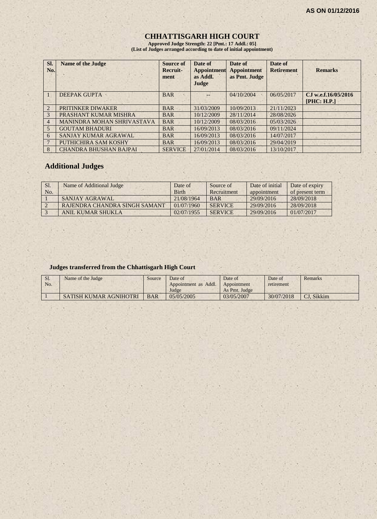# **CHHATTISGARH HIGH COURT**

**Approved Judge Strength: 22 [Pmt.: 17 Addl.: 05] (List of Judges arranged according to date of initial appointment)**

| Sl.<br>No.      | <b>Name of the Judge</b>          | <b>Source of</b><br>Recruit-<br>ment | Date of<br><b>Appointment</b><br>as Addl.<br>Judge | Date of<br><b>Appointment</b><br>as Pmt. Judge | Date of<br><b>Retirement</b> | <b>Remarks</b>                     |
|-----------------|-----------------------------------|--------------------------------------|----------------------------------------------------|------------------------------------------------|------------------------------|------------------------------------|
|                 | <b>DEEPAK GUPTA</b>               | <b>BAR</b>                           |                                                    | 04/10/2004                                     | 06/05/2017                   | CJ w.e.f.16/05/2016<br>[PHC: H.P.] |
| $\overline{2}$  | PRITINKER DIWAKER                 | <b>BAR</b>                           | 31/03/2009                                         | 10/09/2013                                     | 21/11/2023                   |                                    |
| 3               | PRASHANT KUMAR MISHRA             | <b>BAR</b>                           | 10/12/2009                                         | 28/11/2014                                     | 28/08/2026                   |                                    |
| $\overline{4}$  | <b>MANINDRA MOHAN SHRIVASTAVA</b> | <b>BAR</b>                           | 10/12/2009                                         | 08/03/2016                                     | 05/03/2026                   |                                    |
| 5               | <b>GOUTAM BHADURI</b>             | <b>BAR</b>                           | 16/09/2013                                         | 08/03/2016                                     | 09/11/2024                   |                                    |
| 6               | SANJAY KUMAR AGRAWAL              | <b>BAR</b>                           | 16/09/2013                                         | 08/03/2016                                     | 14/07/2017                   |                                    |
| $7\phantom{.0}$ | PUTHICHIRA SAM KOSHY              | <b>BAR</b>                           | 16/09/2013                                         | 08/03/2016                                     | 29/04/2019                   |                                    |
| 8               | <b>CHANDRA BHUSHAN BAJPAI</b>     | <b>SERVICE</b>                       | 27/01/2014                                         | 08/03/2016                                     | 13/10/2017                   |                                    |

#### **Additional Judges**

| Sl.<br>No. | Name of Additional Judge      | Date of<br><b>Birth</b> | Source of<br>Recruitment | Date of initial<br>appointment | Date of expiry<br>of present term |
|------------|-------------------------------|-------------------------|--------------------------|--------------------------------|-----------------------------------|
|            | SANJAY AGRAWAL                | 21/08/1964              | <b>BAR</b>               | 29/09/2016                     | 28/09/2018                        |
|            | RAJENDRA CHANDRA SINGH SAMANT | 01/07/1960              | <b>SERVICE</b>           | 29/09/2016                     | 28/09/2018                        |
|            | <b>ANIL KUMAR SHUKLA</b>      | 02/07/1955              | <b>SERVICE</b>           | 29/09/2016                     | 01/07/2017                        |

#### **Judges transferred from the Chhattisgarh High Court**

| S1.<br>No. | Name of the Judge      | Source     | Date of<br>Appointment as Addl. | Date of<br>Appointment | Date of<br>retirement | Remarks    |
|------------|------------------------|------------|---------------------------------|------------------------|-----------------------|------------|
|            |                        |            | Judge                           | As Pmt. Judge          |                       |            |
|            | SATISH KUMAR AGNIHOTRI | <b>BAR</b> | 05/05/2005                      | 03/05/2007             | 30/07/2018            | CJ. Sikkim |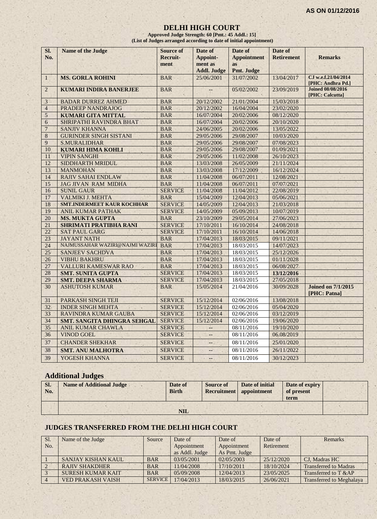#### **DELHI HIGH COURT**

**Approved Judge Strength: 60 [Pmt.: 45 Addl.: 15] (List of Judges arranged according to date of initial appointment)**

| CJ w.e.f.21/04/2014<br><b>MS. GORLA ROHINI</b><br>25/06/2001<br>31/07/2002<br><b>BAR</b><br>13/04/2017<br>$\mathbf{1}$<br>[PHC: Andhra Pd.]<br>$\overline{2}$<br><b>Joined 08/08/2016</b><br><b>KUMARI INDIRA BANERJEE</b><br><b>BAR</b><br>05/02/2002<br>23/09/2019<br><u></u><br>[PHC: Calcutta]<br><b>BADAR DURREZ AHMED</b><br><b>BAR</b><br>20/12/2002<br>21/01/2004<br>15/03/2018<br>3<br><b>PRADEEP NANDRAJOG</b><br>20/12/2002<br>16/04/2004<br>23/02/2020<br>$\overline{4}$<br><b>BAR</b><br>08/12/2020<br>5<br><b>KUMARI GITA MITTAL</b><br><b>BAR</b><br>16/07/2004<br>20/02/2006<br>$\overline{6}$<br>SHRIPATHI RAVINDRA BHAT<br><b>BAR</b><br>16/07/2004<br>20/02/2006<br>20/10/2020<br>$\overline{7}$<br><b>BAR</b><br>24/06/2005<br>20/02/2006<br>13/05/2022<br><b>SANJIV KHANNA</b><br>8<br><b>GURINDER SINGH SISTANI</b><br><b>BAR</b><br>29/05/2006<br>29/08/2007<br>10/03/2020<br>9<br><b>S.MURALIDHAR</b><br><b>BAR</b><br>29/05/2006<br>29/08/2007<br>07/08/2023<br>10<br><b>BAR</b><br>29/05/2006<br>29/08/2007<br>01/09/2021<br><b>KUMARI HIMA KOHLI</b><br><b>BAR</b><br><b>VIPIN SANGHI</b><br>29/05/2006<br>11/02/2008<br>26/10/2023<br>11<br>12<br>SIDDHARTH MRIDUL<br><b>BAR</b><br>13/03/2008<br>26/05/2009<br>21/11/2024<br>13<br><b>BAR</b><br>17/12/2009<br>16/12/2024<br><b>MANMOHAN</b><br>13/03/2008<br><b>RAJIV SAHAI ENDLAW</b><br>14<br><b>BAR</b><br>11/04/2008<br>06/07/2011<br>12/08/2021<br><b>JAG JIVAN RAM MIDHA</b><br><b>BAR</b><br>11/04/2008<br>06/07/2011<br>07/07/2021<br>15<br>16<br><b>SUNIL GAUR</b><br><b>SERVICE</b><br>22/08/2019<br>11/04/2008<br>11/04/2012<br>17<br><b>VALMIKI J. MEHTA</b><br><b>BAR</b><br>15/04/2009<br>12/04/2013<br>05/06/2021<br><b>SMT.INDERMEET KAUR KOCHHAR</b><br>18<br><b>SERVICE</b><br>12/04/2013<br>21/03/2018<br>14/05/2009<br><b>SERVICE</b><br>05/09/2013<br>19<br><b>ANIL KUMAR PATHAK</b><br>14/05/2009<br>10/07/2019<br><b>BAR</b><br>29/05/2014<br>27/06/2023<br>20<br><b>MS. MUKTA GUPTA</b><br>23/10/2009<br><b>SERVICE</b><br>21<br>17/10/2011<br>16/10/2014<br>24/08/2018<br><b>SHRIMATI PRATIBHA RANI</b><br>22<br><b>SERVICE</b><br>17/10/2011<br><b>SAT PAUL GARG</b><br>16/10/2014<br>14/06/2018 |  |
|----------------------------------------------------------------------------------------------------------------------------------------------------------------------------------------------------------------------------------------------------------------------------------------------------------------------------------------------------------------------------------------------------------------------------------------------------------------------------------------------------------------------------------------------------------------------------------------------------------------------------------------------------------------------------------------------------------------------------------------------------------------------------------------------------------------------------------------------------------------------------------------------------------------------------------------------------------------------------------------------------------------------------------------------------------------------------------------------------------------------------------------------------------------------------------------------------------------------------------------------------------------------------------------------------------------------------------------------------------------------------------------------------------------------------------------------------------------------------------------------------------------------------------------------------------------------------------------------------------------------------------------------------------------------------------------------------------------------------------------------------------------------------------------------------------------------------------------------------------------------------------------------------------------------------------------------------------------------------------------------------------------------------------------------------------------------------------------------------------------------------------------------------------------------------------------------------------|--|
|                                                                                                                                                                                                                                                                                                                                                                                                                                                                                                                                                                                                                                                                                                                                                                                                                                                                                                                                                                                                                                                                                                                                                                                                                                                                                                                                                                                                                                                                                                                                                                                                                                                                                                                                                                                                                                                                                                                                                                                                                                                                                                                                                                                                          |  |
|                                                                                                                                                                                                                                                                                                                                                                                                                                                                                                                                                                                                                                                                                                                                                                                                                                                                                                                                                                                                                                                                                                                                                                                                                                                                                                                                                                                                                                                                                                                                                                                                                                                                                                                                                                                                                                                                                                                                                                                                                                                                                                                                                                                                          |  |
|                                                                                                                                                                                                                                                                                                                                                                                                                                                                                                                                                                                                                                                                                                                                                                                                                                                                                                                                                                                                                                                                                                                                                                                                                                                                                                                                                                                                                                                                                                                                                                                                                                                                                                                                                                                                                                                                                                                                                                                                                                                                                                                                                                                                          |  |
|                                                                                                                                                                                                                                                                                                                                                                                                                                                                                                                                                                                                                                                                                                                                                                                                                                                                                                                                                                                                                                                                                                                                                                                                                                                                                                                                                                                                                                                                                                                                                                                                                                                                                                                                                                                                                                                                                                                                                                                                                                                                                                                                                                                                          |  |
|                                                                                                                                                                                                                                                                                                                                                                                                                                                                                                                                                                                                                                                                                                                                                                                                                                                                                                                                                                                                                                                                                                                                                                                                                                                                                                                                                                                                                                                                                                                                                                                                                                                                                                                                                                                                                                                                                                                                                                                                                                                                                                                                                                                                          |  |
|                                                                                                                                                                                                                                                                                                                                                                                                                                                                                                                                                                                                                                                                                                                                                                                                                                                                                                                                                                                                                                                                                                                                                                                                                                                                                                                                                                                                                                                                                                                                                                                                                                                                                                                                                                                                                                                                                                                                                                                                                                                                                                                                                                                                          |  |
|                                                                                                                                                                                                                                                                                                                                                                                                                                                                                                                                                                                                                                                                                                                                                                                                                                                                                                                                                                                                                                                                                                                                                                                                                                                                                                                                                                                                                                                                                                                                                                                                                                                                                                                                                                                                                                                                                                                                                                                                                                                                                                                                                                                                          |  |
|                                                                                                                                                                                                                                                                                                                                                                                                                                                                                                                                                                                                                                                                                                                                                                                                                                                                                                                                                                                                                                                                                                                                                                                                                                                                                                                                                                                                                                                                                                                                                                                                                                                                                                                                                                                                                                                                                                                                                                                                                                                                                                                                                                                                          |  |
|                                                                                                                                                                                                                                                                                                                                                                                                                                                                                                                                                                                                                                                                                                                                                                                                                                                                                                                                                                                                                                                                                                                                                                                                                                                                                                                                                                                                                                                                                                                                                                                                                                                                                                                                                                                                                                                                                                                                                                                                                                                                                                                                                                                                          |  |
|                                                                                                                                                                                                                                                                                                                                                                                                                                                                                                                                                                                                                                                                                                                                                                                                                                                                                                                                                                                                                                                                                                                                                                                                                                                                                                                                                                                                                                                                                                                                                                                                                                                                                                                                                                                                                                                                                                                                                                                                                                                                                                                                                                                                          |  |
|                                                                                                                                                                                                                                                                                                                                                                                                                                                                                                                                                                                                                                                                                                                                                                                                                                                                                                                                                                                                                                                                                                                                                                                                                                                                                                                                                                                                                                                                                                                                                                                                                                                                                                                                                                                                                                                                                                                                                                                                                                                                                                                                                                                                          |  |
|                                                                                                                                                                                                                                                                                                                                                                                                                                                                                                                                                                                                                                                                                                                                                                                                                                                                                                                                                                                                                                                                                                                                                                                                                                                                                                                                                                                                                                                                                                                                                                                                                                                                                                                                                                                                                                                                                                                                                                                                                                                                                                                                                                                                          |  |
|                                                                                                                                                                                                                                                                                                                                                                                                                                                                                                                                                                                                                                                                                                                                                                                                                                                                                                                                                                                                                                                                                                                                                                                                                                                                                                                                                                                                                                                                                                                                                                                                                                                                                                                                                                                                                                                                                                                                                                                                                                                                                                                                                                                                          |  |
|                                                                                                                                                                                                                                                                                                                                                                                                                                                                                                                                                                                                                                                                                                                                                                                                                                                                                                                                                                                                                                                                                                                                                                                                                                                                                                                                                                                                                                                                                                                                                                                                                                                                                                                                                                                                                                                                                                                                                                                                                                                                                                                                                                                                          |  |
|                                                                                                                                                                                                                                                                                                                                                                                                                                                                                                                                                                                                                                                                                                                                                                                                                                                                                                                                                                                                                                                                                                                                                                                                                                                                                                                                                                                                                                                                                                                                                                                                                                                                                                                                                                                                                                                                                                                                                                                                                                                                                                                                                                                                          |  |
|                                                                                                                                                                                                                                                                                                                                                                                                                                                                                                                                                                                                                                                                                                                                                                                                                                                                                                                                                                                                                                                                                                                                                                                                                                                                                                                                                                                                                                                                                                                                                                                                                                                                                                                                                                                                                                                                                                                                                                                                                                                                                                                                                                                                          |  |
|                                                                                                                                                                                                                                                                                                                                                                                                                                                                                                                                                                                                                                                                                                                                                                                                                                                                                                                                                                                                                                                                                                                                                                                                                                                                                                                                                                                                                                                                                                                                                                                                                                                                                                                                                                                                                                                                                                                                                                                                                                                                                                                                                                                                          |  |
|                                                                                                                                                                                                                                                                                                                                                                                                                                                                                                                                                                                                                                                                                                                                                                                                                                                                                                                                                                                                                                                                                                                                                                                                                                                                                                                                                                                                                                                                                                                                                                                                                                                                                                                                                                                                                                                                                                                                                                                                                                                                                                                                                                                                          |  |
|                                                                                                                                                                                                                                                                                                                                                                                                                                                                                                                                                                                                                                                                                                                                                                                                                                                                                                                                                                                                                                                                                                                                                                                                                                                                                                                                                                                                                                                                                                                                                                                                                                                                                                                                                                                                                                                                                                                                                                                                                                                                                                                                                                                                          |  |
|                                                                                                                                                                                                                                                                                                                                                                                                                                                                                                                                                                                                                                                                                                                                                                                                                                                                                                                                                                                                                                                                                                                                                                                                                                                                                                                                                                                                                                                                                                                                                                                                                                                                                                                                                                                                                                                                                                                                                                                                                                                                                                                                                                                                          |  |
|                                                                                                                                                                                                                                                                                                                                                                                                                                                                                                                                                                                                                                                                                                                                                                                                                                                                                                                                                                                                                                                                                                                                                                                                                                                                                                                                                                                                                                                                                                                                                                                                                                                                                                                                                                                                                                                                                                                                                                                                                                                                                                                                                                                                          |  |
|                                                                                                                                                                                                                                                                                                                                                                                                                                                                                                                                                                                                                                                                                                                                                                                                                                                                                                                                                                                                                                                                                                                                                                                                                                                                                                                                                                                                                                                                                                                                                                                                                                                                                                                                                                                                                                                                                                                                                                                                                                                                                                                                                                                                          |  |
| 23<br><b>JAYANT NATH</b><br><b>BAR</b><br>17/04/2013<br>18/03/2015<br>09/11/2021                                                                                                                                                                                                                                                                                                                                                                                                                                                                                                                                                                                                                                                                                                                                                                                                                                                                                                                                                                                                                                                                                                                                                                                                                                                                                                                                                                                                                                                                                                                                                                                                                                                                                                                                                                                                                                                                                                                                                                                                                                                                                                                         |  |
| NAJMUSSAHAR WAZIRI@NAJMI WAZIRI<br>17/04/2013<br>24<br><b>BAR</b><br>18/03/2015<br>14/07/2023                                                                                                                                                                                                                                                                                                                                                                                                                                                                                                                                                                                                                                                                                                                                                                                                                                                                                                                                                                                                                                                                                                                                                                                                                                                                                                                                                                                                                                                                                                                                                                                                                                                                                                                                                                                                                                                                                                                                                                                                                                                                                                            |  |
| 25<br><b>BAR</b><br>17/04/2013<br><b>SANJEEV SACHDVA</b><br>18/03/2015<br>25/12/2026                                                                                                                                                                                                                                                                                                                                                                                                                                                                                                                                                                                                                                                                                                                                                                                                                                                                                                                                                                                                                                                                                                                                                                                                                                                                                                                                                                                                                                                                                                                                                                                                                                                                                                                                                                                                                                                                                                                                                                                                                                                                                                                     |  |
| <b>VIBHU BAKHRU</b><br><b>BAR</b><br>26<br>17/04/2013<br>18/03/2015<br>01/11/2028                                                                                                                                                                                                                                                                                                                                                                                                                                                                                                                                                                                                                                                                                                                                                                                                                                                                                                                                                                                                                                                                                                                                                                                                                                                                                                                                                                                                                                                                                                                                                                                                                                                                                                                                                                                                                                                                                                                                                                                                                                                                                                                        |  |
| 27<br><b>BAR</b><br>17/04/2013<br><b>VALLURI KAMESWAR RAO</b><br>18/03/2015<br>06/08/2027                                                                                                                                                                                                                                                                                                                                                                                                                                                                                                                                                                                                                                                                                                                                                                                                                                                                                                                                                                                                                                                                                                                                                                                                                                                                                                                                                                                                                                                                                                                                                                                                                                                                                                                                                                                                                                                                                                                                                                                                                                                                                                                |  |
| 28<br><b>SERVICE</b><br>17/04/2013<br><b>SMT. SUNITA GUPTA</b><br>18/03/2015<br>13/12/2016                                                                                                                                                                                                                                                                                                                                                                                                                                                                                                                                                                                                                                                                                                                                                                                                                                                                                                                                                                                                                                                                                                                                                                                                                                                                                                                                                                                                                                                                                                                                                                                                                                                                                                                                                                                                                                                                                                                                                                                                                                                                                                               |  |
| 29<br>17/04/2013<br><b>SMT. DEEPA SHARMA</b><br><b>SERVICE</b><br>18/03/2015<br>27/05/2018                                                                                                                                                                                                                                                                                                                                                                                                                                                                                                                                                                                                                                                                                                                                                                                                                                                                                                                                                                                                                                                                                                                                                                                                                                                                                                                                                                                                                                                                                                                                                                                                                                                                                                                                                                                                                                                                                                                                                                                                                                                                                                               |  |
| 30<br><b>ASHUTOSH KUMAR</b><br>15/05/2014<br>21/04/2016<br>30/09/2028<br><b>Joined on 7/1/2015</b><br><b>BAR</b><br>[PHC: Patna]                                                                                                                                                                                                                                                                                                                                                                                                                                                                                                                                                                                                                                                                                                                                                                                                                                                                                                                                                                                                                                                                                                                                                                                                                                                                                                                                                                                                                                                                                                                                                                                                                                                                                                                                                                                                                                                                                                                                                                                                                                                                         |  |
| PARKASH SINGH TEJI<br><b>SERVICE</b><br>15/12/2014<br>02/06/2016<br>13/08/2018<br>31                                                                                                                                                                                                                                                                                                                                                                                                                                                                                                                                                                                                                                                                                                                                                                                                                                                                                                                                                                                                                                                                                                                                                                                                                                                                                                                                                                                                                                                                                                                                                                                                                                                                                                                                                                                                                                                                                                                                                                                                                                                                                                                     |  |
| 32<br><b>INDER SINGH MEHTA</b><br><b>SERVICE</b><br>15/12/2014<br>02/06/2016<br>05/04/2020                                                                                                                                                                                                                                                                                                                                                                                                                                                                                                                                                                                                                                                                                                                                                                                                                                                                                                                                                                                                                                                                                                                                                                                                                                                                                                                                                                                                                                                                                                                                                                                                                                                                                                                                                                                                                                                                                                                                                                                                                                                                                                               |  |
| 15/12/2014<br>03/12/2019<br>33<br>RAVINDRA KUMAR GAUBA<br><b>SERVICE</b><br>02/06/2016                                                                                                                                                                                                                                                                                                                                                                                                                                                                                                                                                                                                                                                                                                                                                                                                                                                                                                                                                                                                                                                                                                                                                                                                                                                                                                                                                                                                                                                                                                                                                                                                                                                                                                                                                                                                                                                                                                                                                                                                                                                                                                                   |  |
| <b>SERVICE</b><br>19/06/2020<br>34<br>15/12/2014<br>02/06/2016<br>SMT. SANGITA DHINGRA SEHGAL                                                                                                                                                                                                                                                                                                                                                                                                                                                                                                                                                                                                                                                                                                                                                                                                                                                                                                                                                                                                                                                                                                                                                                                                                                                                                                                                                                                                                                                                                                                                                                                                                                                                                                                                                                                                                                                                                                                                                                                                                                                                                                            |  |
| $\overline{35}$<br><b>ANIL KUMAR CHAWLA</b><br><b>SERVICE</b><br>08/11/2016<br>19/10/2020<br>÷.                                                                                                                                                                                                                                                                                                                                                                                                                                                                                                                                                                                                                                                                                                                                                                                                                                                                                                                                                                                                                                                                                                                                                                                                                                                                                                                                                                                                                                                                                                                                                                                                                                                                                                                                                                                                                                                                                                                                                                                                                                                                                                          |  |
| 36<br><b>VINOD GOEL</b><br><b>SERVICE</b><br>08/11/2016<br>06.08/2019                                                                                                                                                                                                                                                                                                                                                                                                                                                                                                                                                                                                                                                                                                                                                                                                                                                                                                                                                                                                                                                                                                                                                                                                                                                                                                                                                                                                                                                                                                                                                                                                                                                                                                                                                                                                                                                                                                                                                                                                                                                                                                                                    |  |
| 37<br><b>SERVICE</b><br>25/01/2020<br><b>CHANDER SHEKHAR</b><br>08/11/2016<br>$-$                                                                                                                                                                                                                                                                                                                                                                                                                                                                                                                                                                                                                                                                                                                                                                                                                                                                                                                                                                                                                                                                                                                                                                                                                                                                                                                                                                                                                                                                                                                                                                                                                                                                                                                                                                                                                                                                                                                                                                                                                                                                                                                        |  |
| 38<br>26/11/2022<br><b>SMT. ANU MALHOTRA</b><br><b>SERVICE</b><br>08/11/2016<br>Щ,                                                                                                                                                                                                                                                                                                                                                                                                                                                                                                                                                                                                                                                                                                                                                                                                                                                                                                                                                                                                                                                                                                                                                                                                                                                                                                                                                                                                                                                                                                                                                                                                                                                                                                                                                                                                                                                                                                                                                                                                                                                                                                                       |  |
| 39<br>YOGESH KHANNA<br><b>SERVICE</b><br>30/12/2023<br>08/11/2016<br>$\overline{\phantom{a}}$                                                                                                                                                                                                                                                                                                                                                                                                                                                                                                                                                                                                                                                                                                                                                                                                                                                                                                                                                                                                                                                                                                                                                                                                                                                                                                                                                                                                                                                                                                                                                                                                                                                                                                                                                                                                                                                                                                                                                                                                                                                                                                            |  |

# **Additional Judges**

| SI.<br>No. | <b>Name of Additional Judge</b> | Date of<br><b>Birth</b> | <b>Source of</b><br>Recruitment   appointment | Date of initial | Date of expiry<br>of present<br>term |  |
|------------|---------------------------------|-------------------------|-----------------------------------------------|-----------------|--------------------------------------|--|
|            |                                 | $\bf NIL$               |                                               |                 |                                      |  |

#### **JUDGES TRANSFERRED FROM THE DELHI HIGH COURT**

| SI. | Name of the Judge        | Source         | Date of        | Date of       | Date of    | <b>Remarks</b>                  |
|-----|--------------------------|----------------|----------------|---------------|------------|---------------------------------|
| No. |                          |                | Appointment    | Appointment   | Retirement |                                 |
|     |                          |                | as Addl. Judge | As Pmt. Judge |            |                                 |
|     | SANJAY KISHAN KAUL       | <b>BAR</b>     | 03/05/2001     | 02/05/2003    | 25/12/2020 | CJ. Madras HC                   |
|     | <b>RAJIV SHAKDHER</b>    | <b>BAR</b>     | 11/04/2008     | 17/10/2011    | 18/10/2024 | <b>Transferred to Madras</b>    |
|     | <b>SURESH KUMAR KAIT</b> | <b>BAR</b>     | 05/09/2008     | 12/04/2013    | 23/05/2025 | Transferred to T &AP            |
|     | <b>VED PRAKASH VAISH</b> | <b>SERVICE</b> | 17/04/2013     | 18/03/2015    | 26/06/2021 | <b>Transferred to Meghalaya</b> |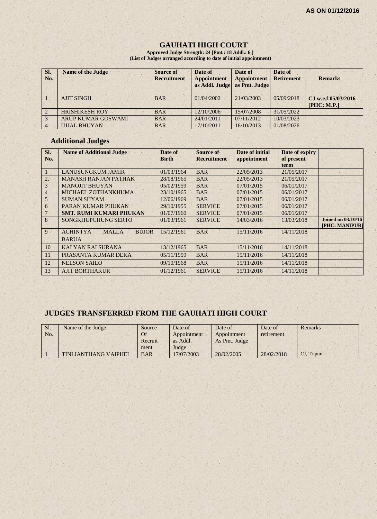#### **GAUHATI HIGH COURT**

**Approved Judge Strength: 24 [Pmt.: 18 Addl.: 6 ] (List of Judges arranged according to date of initial appointment)**

| SI.<br>No.     | <b>Name of the Judge</b>  | <b>Source of</b><br><b>Recruitment</b> | Date of<br><b>Appointment</b><br>as Addl. Judge | Date of<br><b>Appointment</b><br>as Pmt. Judge | Date of<br><b>Retirement</b> | <b>Remarks</b>                     |
|----------------|---------------------------|----------------------------------------|-------------------------------------------------|------------------------------------------------|------------------------------|------------------------------------|
|                | <b>AJIT SINGH</b>         | <b>BAR</b>                             | 01/04/2002                                      | 21/03/2003                                     | 05/09/2018                   | CJ w.e.f.05/03/2016<br>[PHC: M.P.] |
|                | <b>HRISHIKESH ROY</b>     | <b>BAR</b>                             | 12/10/2006                                      | 15/07/2008                                     | 31/05/2022                   |                                    |
|                | <b>ARUP KUMAR GOSWAMI</b> | <b>BAR</b>                             | 24/01/2011                                      | 07/11/2012                                     | 10/03/2023                   |                                    |
| $\overline{4}$ | <b>UJJAL BHUYAN</b>       | <b>BAR</b>                             | 17/10/2011                                      | 16/10/2013                                     | 01/08/2026                   |                                    |

#### **Additional Judges**

| SI.<br>No.     | <b>Name of Additional Judge</b>                                 | Date of<br><b>Birth</b> | Source of<br><b>Recruitment</b> | Date of initial<br>appointment | Date of expiry<br>of present<br>term |                                             |
|----------------|-----------------------------------------------------------------|-------------------------|---------------------------------|--------------------------------|--------------------------------------|---------------------------------------------|
|                | <b>LANUSUNGKUM JAMIR</b>                                        | 01/03/1964              | <b>BAR</b>                      | 22/05/2013                     | 21/05/2017                           |                                             |
| 2.             | <b>MANASH RANJAN PATHAK</b>                                     | 28/08/1965              | <b>BAR</b>                      | 22/05/2013                     | 21/05/2017                           |                                             |
| 3              | <b>MANOJIT BHUYAN</b>                                           | 05/02/1959              | <b>BAR</b>                      | 07/01/2015                     | 06/01/2017                           |                                             |
| $\overline{4}$ | MICHAEL ZOTHANKHUMA                                             | 23/10/1965              | <b>BAR</b>                      | 07/01/2015                     | 06/01/2017                           |                                             |
| 5              | <b>SUMAN SHYAM</b>                                              | 12/06/1969              | <b>BAR</b>                      | 07/01/2015                     | 06/01/2017                           |                                             |
| 6              | PARAN KUMAR PHUKAN                                              | 29/10/1955              | <b>SERVICE</b>                  | 07/01/2015                     | 06/01/2017                           |                                             |
|                | <b>SMT. RUMI KUMARI PHUKAN</b>                                  | 01/07/1960              | <b>SERVICE</b>                  | 07/01/2015                     | 06/01/2017                           |                                             |
| 8              | <b>SONGKHUPCHUNG SERTO</b>                                      | 01/03/1961              | <b>SERVICE</b>                  | 14/03/2016                     | 13/03/2018                           | <b>Joined on 03/10/16</b><br>[PHC: MANIPUR] |
| 9              | <b>ACHINTYA</b><br><b>MALLA</b><br><b>BUJOR</b><br><b>BARUA</b> | 15/12/1961              | <b>BAR</b>                      | 15/11/2016                     | 14/11/2018                           |                                             |
| 10             | <b>KALYAN RAI SURANA</b>                                        | 13/12/1965              | <b>BAR</b>                      | 15/11/2016                     | 14/11/2018                           |                                             |
| 11             | PRASANTA KUMAR DEKA                                             | 05/11/1959              | <b>BAR</b>                      | 15/11/2016                     | 14/11/2018                           |                                             |
| 12             | <b>NELSON SAILO</b>                                             | 09/10/1968              | <b>BAR</b>                      | 15/11/2016                     | 14/11/2018                           |                                             |
| 13             | <b>AJIT BORTHAKUR</b>                                           | 01/12/1961              | <b>SERVICE</b>                  | 15/11/2016                     | 14/11/2018                           |                                             |

# **JUDGES TRANSFERRED FROM THE GAUHATI HIGH COURT**

| Sl.<br>No. | Name of the Judge           | Source<br>Of<br>Recruit | Date of<br>Appointment<br>as Addl. | Date of<br>Appointment<br>As Pmt. Judge | Date of<br>retirement | Remarks     |
|------------|-----------------------------|-------------------------|------------------------------------|-----------------------------------------|-----------------------|-------------|
|            |                             | ment                    | Judge                              |                                         |                       |             |
|            | <b>TINLIANTHANG VAIPHEI</b> | <b>BAR</b>              | 17/07/2003                         | 28/02/2005                              | 28/02/2018            | CJ, Tripura |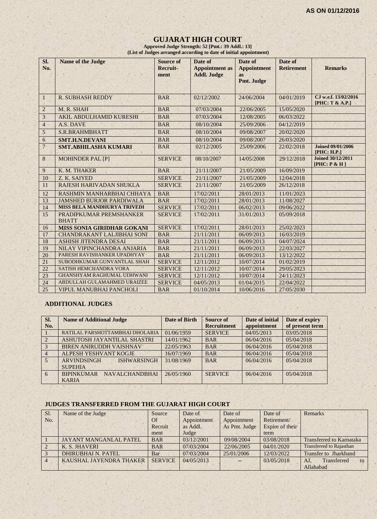#### **GUJARAT HIGH COURT**

**Approved Judge Strength: 52 [Pmt.: 39 Addl.: 13] (List of Judges arranged according to date of initial appointment)**

| SI.<br>No.     | <b>Name of the Judge</b>                | <b>Source of</b><br>Recruit-<br>ment | Date of<br><b>Appointment</b> as<br><b>Addl. Judge</b> | Date of<br><b>Appointment</b><br><b>as</b><br>Pmt. Judge | Date of<br><b>Retirement</b> | <b>Remarks</b>                              |
|----------------|-----------------------------------------|--------------------------------------|--------------------------------------------------------|----------------------------------------------------------|------------------------------|---------------------------------------------|
| 1              | <b>R. SUBHASH REDDY</b>                 | <b>BAR</b>                           | 02/12/2002                                             | 24/06/2004                                               | 04/01/2019                   | CJ w.e.f. 13/02/2016<br>[PHC: T & A.P.]     |
| $\overline{2}$ | M. R. SHAH                              | <b>BAR</b>                           | 07/03/2004                                             | 22/06/2005                                               | 15/05/2020                   |                                             |
| 3              | <b>AKIL ABDULHAMID KURESHI</b>          | <b>BAR</b>                           | 07/03/2004                                             | 12/08/2005                                               | 06/03/2022                   |                                             |
| $\overline{4}$ | A.S. DAVE                               | <b>BAR</b>                           | 08/10/2004                                             | 25/09/2006                                               | 04/12/2019                   |                                             |
| $\sqrt{5}$     | S.R.BRAHMBHATT                          | <b>BAR</b>                           | 08/10/2004                                             | 09/08/2007                                               | 20/02/2020                   |                                             |
| 6              | <b>SMT.H.N.DEVANI</b>                   | <b>BAR</b>                           | 08/10/2004                                             | 09/08/2007                                               | 26/03/2020                   |                                             |
| $\overline{7}$ | <b>SMT.ABHILASHA KUMARI</b>             | <b>BAR</b>                           | 02/12/2005                                             | 25/09/2006                                               | 22/02/2018                   | <b>Joined 09/01/2006</b><br>[PHC: H.P.]     |
| 8              | <b>MOHINDER PAL [P]</b>                 | <b>SERVICE</b>                       | 08/10/2007                                             | 14/05/2008                                               | 29/12/2018                   | <b>Joined 30/12/2011</b><br>[PHC: $P & H$ ] |
| 9              | K. M. THAKER                            | <b>BAR</b>                           | 21/11/2007                                             | 21/05/2009                                               | 16/09/2019                   |                                             |
| 10             | Z. K. SAIYED                            | <b>SERVICE</b>                       | 21/11/2007                                             | 21/05/2009                                               | 12/04/2018                   |                                             |
| 11             | RAJESH HARIVADAN SHUKLA                 | <b>SERVICE</b>                       | 21/11/2007                                             | 21/05/2009                                               | 26/12/2018                   |                                             |
| 12             | RASHMIN MANHARBHAI CHHAYA               | <b>BAR</b>                           | 17/02/2011                                             | 28/01/2013                                               | 11/01/2023                   |                                             |
| 13             | <b>JAMSHED BURJOR PARDIWALA</b>         | <b>BAR</b>                           | 17/02/2011                                             | 28/01/2013                                               | 11/08/2027                   |                                             |
| 14             | MISS BELA MANDHURYA TRIVEDI             | <b>SERVICE</b>                       | 17/02/2011                                             | 06/02/2013                                               | 09/06/2022                   |                                             |
| 15             | PRADIPKUMAR PREMSHANKER<br><b>BHATT</b> | <b>SERVICE</b>                       | 17/02/2011                                             | 31/01/2013                                               | 05/09/2018                   |                                             |
| 16             | <b>MISS SONIA GIRIDHAR GOKANI</b>       | <b>SERVICE</b>                       | 17/02/2011                                             | 28/01/2013                                               | 25/02/2023                   |                                             |
| 17             | <b>CHANDRAKANT LALJIBHAI SONI</b>       | <b>BAR</b>                           | 21/11/2011                                             | 06/09/2013                                               | 16/03/2019                   |                                             |
| 18             | <b>ASHISH JITENDRA DESAI</b>            | <b>BAR</b>                           | 21/11/2011                                             | 06/09/2013                                               | 04/07/2024                   |                                             |
| 19             | NILAY VIPINCHANDRA ANJARIA              | <b>BAR</b>                           | 21/11/2011                                             | 06/09/2013                                               | 22/03/2027                   |                                             |
| 20             | PARESH RAVISHANKER UPADHYAY             | <b>BAR</b>                           | 21/11/2011                                             | 06/09/2013                                               | 13/12/2022                   |                                             |
| 21             | SUBODHKUMAR GUNVANTLAL SHAH             | <b>SERVICE</b>                       | 12/11/2012                                             | 10/07/2014                                               | 01/02/2019                   |                                             |
| 22             | <b>SATISH HEMCHANDRA VORA</b>           | <b>SERVICE</b>                       | 12/11/2012                                             | 10/07/2014                                               | 29/05/2023                   |                                             |
| 23             | <b>GHANSHYAM RAGHUMAL UDHWANI</b>       | <b>SERVICE</b>                       | 12/11/2012                                             | 10/07/2014                                               | 24/11/2023                   |                                             |
| 24             | ABDULLAH GULAMAHMED URAIZEE             | <b>SERVICE</b>                       | 04/05/2013                                             | 01/04/2015                                               | 22/04/2022                   |                                             |
| 25             | <b>VIPUL MANUBHAI PANCHOLI</b>          | <b>BAR</b>                           | 01/10/2014                                             | 10/06/2016                                               | 27/05/2030                   |                                             |

#### **ADDITIONAL JUDGES**

| SI.<br>No.     | <b>Name of Additional Judge</b>                            | Date of Birth | Source of<br><b>Recruitment</b> | Date of initial<br>appointment | Date of expiry<br>of present term |
|----------------|------------------------------------------------------------|---------------|---------------------------------|--------------------------------|-----------------------------------|
|                | RATILAL PARSHOTTAMBHAI DHOLARIA                            | 01/06/1959    | <b>SERVICE</b>                  | 04/05/2013                     | 03/05/2018                        |
| $\overline{2}$ | ASHUTOSH JAYANTILAL SHASTRI                                | 14/01/1962    | <b>BAR</b>                      | 06/04/2016                     | 05/04/2018                        |
| $\overline{3}$ | <b>BIREN ANIRUDDH VAISHNAV</b>                             | 22/05/1963    | <b>BAR</b>                      | 06/04/2016                     | 05/04/2018                        |
| $\overline{4}$ | ALPESH YESHVANT KOGJE                                      | 16/07/1969    | <b>BAR</b>                      | 06/04/2016                     | 05/04/2018                        |
| 5 <sup>°</sup> | <b>ARVINDSINGH</b><br><b>ISHWARSINGH</b><br><b>SUPEHIA</b> | 31/08/1969    | <b>BAR</b>                      | 06/04/2016                     | 05/04/2018                        |
| 6              | <b>BIPINKUMAR</b><br><b>NAVALCHANDBHAI</b><br><b>KARIA</b> | 26/05/1960    | <b>SERVICE</b>                  | 06/04/2016                     | 05/04/2018                        |

#### **JUDGES TRANSFERRED FROM THE GUJARAT HIGH COURT**

| Sl.            | Name of the Judge             | Source         | Date of     | Date of       | Date of         | <b>Remarks</b>                  |
|----------------|-------------------------------|----------------|-------------|---------------|-----------------|---------------------------------|
| No.            |                               | Of             | Appointment | Appointment   | Retirement/     |                                 |
|                |                               | Recruit        | as Addl.    | As Pmt. Judge | Expire of their |                                 |
|                |                               | ment           | Judge       |               | term            |                                 |
|                | <b>JAYANT MANGANLAL PATEL</b> | <b>BAR</b>     | 03/12/2001  | 09/08/2004    | 03/08/2018      | <b>Transferred to Karnataka</b> |
|                | K. S. JHAVERI                 | <b>BAR</b>     | 07/03/2004  | 22/06/2005    | 04/01/2020      | <b>Transferred to Rajasthan</b> |
|                | <b>DHIRUBHAI N. PATEL</b>     | Bar            | 07/03/2004  | 25/01/2006    | 12/03/2022      | Transfer to Jharkhand           |
| $\overline{4}$ | KAUSHAL JAYENDRA THAKER       | <b>SERVICE</b> | 04/05/2013  | --            | 03/05/2018      | Transferred<br>$A_{J}$<br>to    |
|                |                               |                |             |               |                 | Allahabad                       |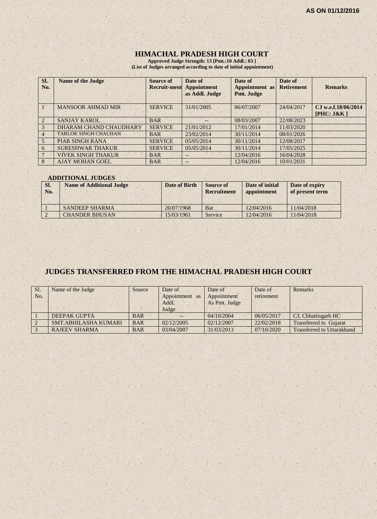## **HIMACHAL PRADESH HIGH COURT**

**Approved Judge Strength: 13 [Pmt.:10 Addl.: 03 ] (List of Judges arranged according to date of initial appointment)**

| Sl.<br>No. | <b>Name of the Judge</b>    | Source of<br><b>Recruit-ment</b> | Date of<br>Appointment<br>as Addl. Judge | Date of<br><b>Appointment</b> as<br>Pmt. Judge | Date of<br><b>Retirement</b> | <b>Remarks</b>                    |
|------------|-----------------------------|----------------------------------|------------------------------------------|------------------------------------------------|------------------------------|-----------------------------------|
|            | <b>MANSOOR AHMAD MIR</b>    | <b>SERVICE</b>                   | 31/01/2005                               | 06/07/2007                                     | 24/04/2017                   | CJ w.e.f.18/06/2014<br>[PHC: J&K] |
|            | <b>SANJAY KAROL</b>         | <b>BAR</b>                       | --                                       | 08/03/2007                                     | 22/08/2023                   |                                   |
| 3          | DHARAM CHAND CHAUDHARY      | <b>SERVICE</b>                   | 21/01/2012                               | 17/01/2014                                     | 11/03/2020                   |                                   |
|            | <b>TARLOK SINGH CHAUHAN</b> | <b>BAR</b>                       | 23/02/2014                               | 30/11/2014                                     | 08/01/2026                   |                                   |
| 5          | <b>PIAR SINGH RANA</b>      | <b>SERVICE</b>                   | 05/05/2014                               | 30/11/2014                                     | 12/08/2017                   |                                   |
| 6          | <b>SURESHWAR THAKUR</b>     | <b>SERVICE</b>                   | 05/05/2014                               | 30/11/2014                                     | 17/05/2025                   |                                   |
|            | <b>VIVEK SINGH THAKUR</b>   | <b>BAR</b>                       | $- -$                                    | 12/04/2016                                     | 16/04/2028                   |                                   |
| 8          | <b>AJAY MOHAN GOEL</b>      | <b>BAR</b>                       | $- -$                                    | 12/04/2016                                     | 10/01/2031                   |                                   |

#### **ADDITIONAL JUDGES**

| SI.<br>No. | <b>Name of Additional Judge</b> | Date of Birth | Source of<br><b>Recruitment</b> | Date of initial<br>appointment | Date of expiry<br>of present term |
|------------|---------------------------------|---------------|---------------------------------|--------------------------------|-----------------------------------|
|            | <b>SANDEEP SHARMA</b>           | 20/07/1968    | Bar                             | 12/04/2016                     | 11/04/2018                        |
|            | <b>CHANDER BHUSAN</b>           | 15/03/1961    | Service                         | 12/04/2016                     | 11/04/2018                        |

# **JUDGES TRANSFERRED FROM THE HIMACHAL PRADESH HIGH COURT**

| Sl.<br>No. | Name of the Judge           | Source     | Date of<br>Appointment as<br>Addl. | Date of<br>Appointment<br>As Pmt. Judge | Date of<br>retirement | Remarks                           |
|------------|-----------------------------|------------|------------------------------------|-----------------------------------------|-----------------------|-----------------------------------|
|            |                             |            | Judge                              |                                         |                       |                                   |
|            | <b>DEEPAK GUPTA</b>         | <b>BAR</b> |                                    | 04/10/2004                              | 06/05/2017            | CJ, Chhattisgarh HC               |
|            | <b>SMT.ABHILASHA KUMARI</b> | <b>BAR</b> | 02/12/2005                         | 02/12/2007                              | 22/02/2018            | <b>Transferred to Gujarat</b>     |
|            | <b>RAJEEV SHARMA</b>        | <b>BAR</b> | 03/04/2007                         | 31/03/2013                              | 07/10/2020            | <b>Transferred to Uttarakhand</b> |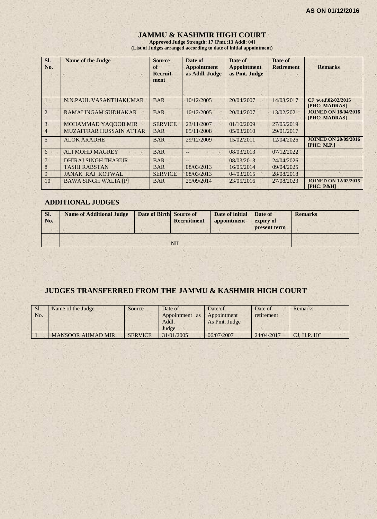# **JAMMU & KASHMIR HIGH COURT**

**Approved Judge Strength: 17 [Pmt.:13 Addl: 04] (List of Judges arranged according to date of initial appointment)**

| SI.<br>No.     | <b>Name of the Judge</b>    | <b>Source</b><br>of<br>Recruit-<br>ment | Date of<br><b>Appointment</b><br>as Addl. Judge | Date of<br><b>Appointment</b><br>as Pmt. Judge | Date of<br><b>Retirement</b> | <b>Remarks</b>                               |
|----------------|-----------------------------|-----------------------------------------|-------------------------------------------------|------------------------------------------------|------------------------------|----------------------------------------------|
|                | N.N.PAUL VASANTHAKUMAR      | <b>BAR</b>                              | 10/12/2005                                      | 20/04/2007                                     | 14/03/2017                   | CJ w.e.f.02/02/2015<br>[PHC: MADRAS]         |
| $\overline{2}$ | RAMALINGAM SUDHAKAR         | <b>BAR</b>                              | 10/12/2005                                      | 20/04/2007                                     | 13/02/2021                   | <b>JOINED ON 18/04/2016</b><br>[PHC: MADRAS] |
| 3 <sup>1</sup> | <b>MOHAMMAD YAQOOB MIR</b>  | <b>SERVICE</b>                          | 23/11/2007                                      | 01/10/2009                                     | 27/05/2019                   |                                              |
| $\overline{4}$ | MUZAFFRAR HUSSAIN ATTAR     | <b>BAR</b>                              | 0.5/11/2008                                     | 05/03/2010                                     | 29/01/2017                   |                                              |
| 5              | <b>ALOK ARADHE</b>          | <b>BAR</b>                              | 29/12/2009                                      | 15/02/2011                                     | 12/04/2026                   | <b>JOINED ON 20/09/2016</b><br>[PHC: M.P.]   |
| 6              | <b>ALI MOHD MAGREY</b>      | <b>BAR</b>                              |                                                 | 08/03/2013                                     | 07/12/2022                   |                                              |
| $\tau$         | <b>DHIRAJ SINGH THAKUR</b>  | <b>BAR</b>                              |                                                 | 08/03/2013                                     | 24/04/2026                   |                                              |
| 8              | <b>TASHI RABSTAN</b>        | <b>BAR</b>                              | 08/03/2013                                      | 16/05/2014                                     | 09/04/2025                   |                                              |
| 9              | <b>JANAK RAJ KOTWAL</b>     | <b>SERVICE</b>                          | 08/03/2013                                      | 04/03/2015                                     | 28/08/2018                   |                                              |
| 10             | <b>BAWA SINGH WALIA [P]</b> | <b>BAR</b>                              | 25/09/2014                                      | 23/05/2016                                     | 27/08/2023                   | <b>JOINED ON 12/02/2015</b><br>$[PHC: P\&H]$ |

#### **ADDITIONAL JUDGES**

| SI.<br>No. | <b>Name of Additional Judge</b> | Date of Birth Source of | Recruitment | Date of initial<br>appointment | Date of<br>expiry of<br>present term | <b>Remarks</b> |
|------------|---------------------------------|-------------------------|-------------|--------------------------------|--------------------------------------|----------------|
|            |                                 |                         | <b>NIL</b>  |                                |                                      |                |

# **JUDGES TRANSFERRED FROM THE JAMMU & KASHMIR HIGH COURT**

| Sl.<br>No. | Name of the Judge        | Source         | Date of<br>Appointment<br>as<br>Addl.<br>Judge | Date of<br>Appointment<br>As Pmt. Judge | Date of<br>retirement | Remarks     |
|------------|--------------------------|----------------|------------------------------------------------|-----------------------------------------|-----------------------|-------------|
|            | <b>MANSOOR AHMAD MIR</b> | <b>SERVICE</b> | 31/01/2005                                     | 06/07/2007                              | 24/04/2017            | CJ, H.P. HC |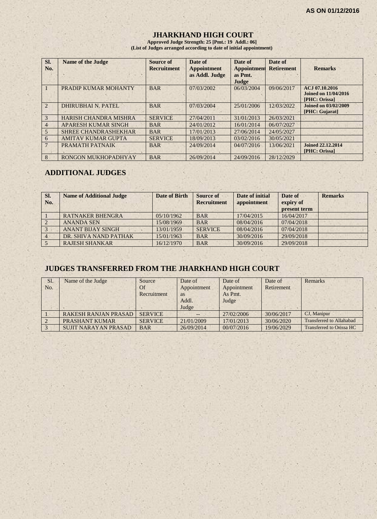#### **JHARKHAND HIGH COURT**

**Approved Judge Strength: 25 [Pmt.: 19 Addl.: 06] (List of Judges arranged according to date of initial appointment)**

| SI.<br>No.     | <b>Name of the Judge</b>     | Source of<br><b>Recruitment</b> | Date of<br><b>Appointment</b><br>as Addl. Judge | Date of<br><b>Appointment</b><br>as Pmt.<br>Judge | Date of<br><b>Retirement</b> | <b>Remarks</b>                                          |
|----------------|------------------------------|---------------------------------|-------------------------------------------------|---------------------------------------------------|------------------------------|---------------------------------------------------------|
|                | PRADIP KUMAR MOHANTY         | <b>BAR</b>                      | 07/03/2002                                      | 06/03/2004                                        | 09/06/2017                   | ACJ 07.10.2016<br>Joined on 11/04/2016<br>[PHC: Orissa] |
| $\overline{2}$ | <b>DHIRUBHAI N. PATEL</b>    | <b>BAR</b>                      | 07/03/2004                                      | 25/01/2006                                        | 12/03/2022                   | <b>Joined on 03/02/2009</b><br>[PHC: Gujarat]           |
| 3              | <b>HARISH CHANDRA MISHRA</b> | <b>SERVICE</b>                  | 27/04/2011                                      | 31/01/2013                                        | 26/03/2021                   |                                                         |
| 4              | <b>APARESH KUMAR SINGH</b>   | <b>BAR</b>                      | 24/01/2012                                      | 16/01/2014                                        | 06/07/2027                   |                                                         |
| 5              | <b>SHREE CHANDRASHEKHAR</b>  | <b>BAR</b>                      | 17/01/2013                                      | 27/06/2014                                        | 24/05/2027                   |                                                         |
| 6              | <b>AMITAV KUMAR GUPTA</b>    | <b>SERVICE</b>                  | 18/09/2013                                      | 03/02/2016                                        | 30/05/2021                   |                                                         |
|                | PRAMATH PATNAIK              | <b>BAR</b>                      | 24/09/2014                                      | 04/07/2016                                        | 13/06/2021                   | Joined 22.12.2014<br>[PHC: Orissa]                      |
| 8              | RONGON MUKHOPADHYAY          | <b>BAR</b>                      | 26/09/2014                                      | 24/09/2016                                        | 28/12/2029                   |                                                         |

# **ADDITIONAL JUDGES**

| SI.<br>No. | <b>Name of Additional Judge</b> | <b>Date of Birth</b> | <b>Source of</b><br><b>Recruitment</b> | Date of initial<br>appointment | Date of<br>expiry of<br>present term | <b>Remarks</b> |
|------------|---------------------------------|----------------------|----------------------------------------|--------------------------------|--------------------------------------|----------------|
|            | <b>RATNAKER BHENGRA</b>         | 05/10/1962           | <b>BAR</b>                             | 17/04/2015                     | 16/04/2017                           |                |
|            | <b>ANANDA SEN</b>               | 15/08/1969           | <b>BAR</b>                             | 08/04/2016                     | 07/04/2018                           |                |
|            | <b>ANANT BIJAY SINGH</b>        | 13/01/1959           | <b>SERVICE</b>                         | 08/04/2016                     | 07/04/2018                           |                |
|            | DR. SHIVA NAND PATHAK           | 15/01/1963           | <b>BAR</b>                             | 30/09/2016                     | 29/09/2018                           |                |
|            | <b>RAJESH SHANKAR</b>           | 16/12/1970           | <b>BAR</b>                             | 30/09/2016                     | 29/09/2018                           |                |

# **JUDGES TRANSFERRED FROM THE JHARKHAND HIGH COURT**

| Sl. | Name of the Judge           | Source         | Date of     | Date of     | Date of    | <b>Remarks</b>                  |
|-----|-----------------------------|----------------|-------------|-------------|------------|---------------------------------|
| No. |                             | Of             | Appointment | Appointment | Retirement |                                 |
|     |                             | Recruitment    | <b>as</b>   | As Pmt.     |            |                                 |
|     |                             |                | Addl.       | Judge       |            |                                 |
|     |                             |                | Judge       |             |            |                                 |
|     | <b>RAKESH RANJAN PRASAD</b> | <b>SERVICE</b> | $- -$       | 27/02/2006  | 30/06/2017 | CJ, Manipur                     |
|     | PRASHANT KUMAR              | <b>SERVICE</b> | 21/01/2009  | 17/01/2013  | 30/06/2020 | <b>Transferred to Allahabad</b> |
|     | <b>SUJIT NARAYAN PRASAD</b> | <b>BAR</b>     | 26/09/2014  | 00/07/2016  | 19/06/2029 | Transferred to Orissa HC        |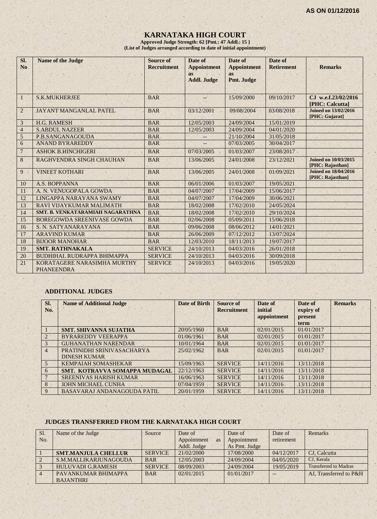# **KARNATAKA HIGH COURT**

**Approved Judge Strength: 62 [Pmt.: 47 Addl.: 15 ] (List of Judges arranged according to date of initial appointment)**

| Sl.<br>N <sub>0</sub> | <b>Name of the Judge</b>                         | Source of<br><b>Recruitment</b> | Date of<br><b>Appointment</b><br><b>as</b><br><b>Addl. Judge</b> | Date of<br><b>Appointment</b><br><b>as</b><br>Pmt. Judge | Date of<br><b>Retirement</b> | <b>Remarks</b>                                  |
|-----------------------|--------------------------------------------------|---------------------------------|------------------------------------------------------------------|----------------------------------------------------------|------------------------------|-------------------------------------------------|
| $\mathbf{1}$          | <b>S.K.MUKHERJEE</b>                             | <b>BAR</b>                      | --                                                               | 15/09/2000                                               | 09/10/2017                   | CJ w.e.f.23/02/2016<br>[PHC: Calcutta]          |
| $\overline{2}$        | <b>JAYANT MANGANLAL PATEL</b>                    | <b>BAR</b>                      | 03/12/2001                                                       | 09/08/2004                                               | 03/08/2018                   | <b>Joined on 13/02/2016</b><br>[PHC: Gujarat]   |
| 3                     | <b>H.G. RAMESH</b>                               | <b>BAR</b>                      | 12/05/2003                                                       | 24/09/2004                                               | 15/01/2019                   |                                                 |
| $\overline{4}$        | <b>S.ABDUL NAZEER</b>                            | <b>BAR</b>                      | 12/05/2003                                                       | 24/09/2004                                               | 04/01/2020                   |                                                 |
| $\sqrt{5}$            | P.B.SANGANAGOUDA                                 | <b>BAR</b>                      |                                                                  | 21/10/2004                                               | 31/05/2018                   |                                                 |
| 6                     | <b>ANAND BYRAREDDY</b>                           | <b>BAR</b>                      |                                                                  | 07/03/2005                                               | 30/04/2017                   |                                                 |
| $\overline{7}$        | <b>ASHOK B.HINCHIGERI</b>                        | <b>BAR</b>                      | 07/03/2005                                                       | 01/03/2007                                               | 23/08/2017                   |                                                 |
| $\,8$                 | RAGHVENDRA SINGH CHAUHAN                         | <b>BAR</b>                      | 13/06/2005                                                       | 24/01/2008                                               | 23/12/2021                   | <b>Joined on 10/03/2015</b><br>[PHC: Rajasthan] |
| $9 -$                 | <b>VINEET KOTHARI</b>                            | <b>BAR</b>                      | 13/06/2005                                                       | 24/01/2008                                               | 01/09/2021                   | <b>Joined on 18/04/2016</b><br>[PHC: Rajasthan] |
| 10                    | A.S. BOPPANNA                                    | <b>BAR</b>                      | 06/01/2006                                                       | 01/03/2007                                               | 19/05/2021                   |                                                 |
| 11                    | A. N. VENUGOPALA GOWDA                           | <b>BAR</b>                      | 04/07/2007                                                       | 17/04/2009                                               | 15/06/2017                   |                                                 |
| 12                    | LINGAPPA NARAYANA SWAMY                          | <b>BAR</b>                      | 04/07/2007                                                       | 17/04/2009                                               | 30/06/2021                   |                                                 |
| 13                    | RAVI VIJAYKUMAR MALIMATH                         | <b>BAR</b>                      | 18/02/2008                                                       | 17/02/2010                                               | 24/05/2024                   |                                                 |
| 14                    | SMT. B. VENKATARAMIAH NAGARATHNA                 | <b>BAR</b>                      | 18/02/2008                                                       | 17/02/2010                                               | 29/10/2024                   |                                                 |
| 15                    | <b>BOREGOWDA SREENIVASE GOWDA</b>                | <b>BAR</b>                      | 02/06/2008                                                       | 05/09/2011                                               | 15/06/2018                   |                                                 |
| 16                    | S. N. SATYANARAYANA                              | <b>BAR</b>                      | 09/06/2008                                                       | 08/06/2012                                               | 14/01/2021                   |                                                 |
| 17                    | <b>ARAVIND KUMAR</b>                             | <b>BAR</b>                      | 26/06/2009                                                       | 07/12/2012                                               | 13/07/2024                   |                                                 |
| 18                    | <b>BIJOOR MANOHAR</b>                            | <b>BAR</b>                      | 12/03/2010                                                       | 18/11/2013                                               | 19/07/2017                   |                                                 |
| 19                    | <b>SMT. RATHNAKALA</b>                           | <b>SERVICE</b>                  | 24/10/2013                                                       | 04/03/2016                                               | 26/01/2018                   |                                                 |
| 20                    | <b>BUDHIHAL RUDRAPPA BHIMAPPA</b>                | <b>SERVICE</b>                  | 24/10/2013                                                       | 04/03/2016                                               | 30/09/2018                   |                                                 |
| 21                    | KORATAGERE NARASIMHA MURTHY<br><b>PHANEENDRA</b> | <b>SERVICE</b>                  | 24/10/2013                                                       | 04/03/2016                                               | 19/05/2020                   |                                                 |

#### **ADDITIONAL JUDGES**

| SI.<br>No.            | <b>Name of Additional Judge</b> | <b>Date of Birth</b> | <b>Source of</b><br><b>Recruitment</b> | Date of<br>initial<br>appointment | Date of<br>expiry of<br>present<br>term | <b>Remarks</b> |
|-----------------------|---------------------------------|----------------------|----------------------------------------|-----------------------------------|-----------------------------------------|----------------|
|                       | <b>SMT. SHIVANNA SUJATHA</b>    | 20/05/1960           | <b>BAR</b>                             | 02/01/2015                        | 01/01/2017                              |                |
| $\mathcal{D}_{\cdot}$ | <b>BYRAREDDY VEERAPPA</b>       | 01/06/1961           | <b>BAR</b>                             | 02/01/2015                        | 01/01/2017                              |                |
| 3                     | <b>GUHANATHAN NARENDAR</b>      | 10/01/1964           | <b>BAR</b>                             | 02/01/2015                        | 01/01/2017                              |                |
| $\overline{4}$        | PRATINIDHI SRINIVASACHARYA      | 25/02/1962           | <b>BAR</b>                             | 02/01/2015                        | 01/01/2017                              |                |
|                       | <b>DINESH KUMAR</b>             |                      |                                        |                                   |                                         |                |
| $\overline{5}$        | <b>KEMPAIAH SOMASHEKAR</b>      | 15/09/1963           | <b>SERVICE</b>                         | 14/11/2016                        | 13/11/2018                              |                |
| 6                     | SMT. KOTRAVVA SOMAPPA MUDAGAL   | 22/12/1963           | <b>SERVICE</b>                         | 14/11/2016                        | 13/11/2018                              |                |
|                       | <b>SREENIVAS HARISH KUMAR</b>   | 16/06/1963           | <b>SERVICE</b>                         | 14/11/2016                        | 13/11/2018                              |                |
| 8                     | <b>JOHN MICHAEL CUNHA</b>       | 07/04/1959           | <b>SERVICE</b>                         | 14/11/2016                        | 13/11/2018                              |                |
| 9                     | BASAVARAJ ANDANAGOUDA PATIL     | 20/01/1959           | <b>SERVICE</b>                         | 14/11/2016                        | 13/11/2018                              |                |

#### **JUDGES TRANSFERRED FROM THE KARNATAKA HIGH COURT**

| Sl. | Name of the Judge          | Source         | Date of           | Date of       | Date of    | Remarks                      |
|-----|----------------------------|----------------|-------------------|---------------|------------|------------------------------|
| No. |                            |                | Appointment<br>as | Appointment   | retirement |                              |
|     |                            |                | Addl. Judge       | As Pmt. Judge |            |                              |
|     | <b>SMT.MANJULA CHELLUR</b> | <b>SERVICE</b> | 21/02/2000        | 17/08/2000    | 04/12/2017 | CJ. Calcutta                 |
|     | S.M.MALLIKARJUNAGOUDA      | <b>BAR</b>     | 12/05/2003        | 24/09/2004    | 04/05/2020 | CJ, Kerala                   |
|     | <b>HULUVADI G.RAMESH</b>   | <b>SERVICE</b> | 08/09/2003        | 24/09/2004    | 19/05/2019 | <b>Transferred to Madras</b> |
|     | PAVANKUMAR BHIMAPPA        | <b>BAR</b>     | 02/01/2015        | 01/01/2017    |            | AJ. Transferred to P&H       |
|     | <b>BAJANTHRI</b>           |                |                   |               |            |                              |
|     |                            |                |                   |               |            |                              |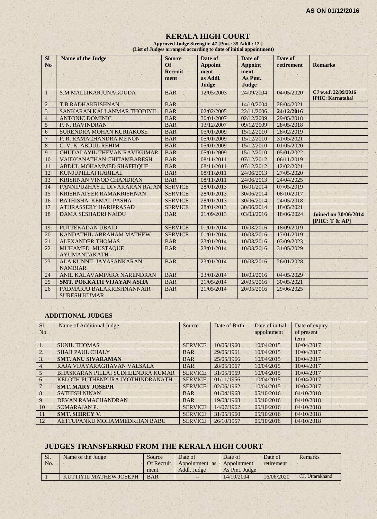#### **KERALA HIGH COURT Approved Judge Strength: 47 [Pmt.: 35 Addl.: 12 ]**

 **(List of Judges arranged according to date of initial appointment)**

| SI<br>N <sub>o</sub> | <b>Name of the Judge</b>                         | <b>Source</b><br><b>Of</b><br><b>Recruit</b><br>ment | Date of<br><b>Appoint</b><br>ment<br>as Addl.<br>Judge | Date of<br><b>Appoint</b><br>ment<br>As Pmt.<br>Judge | Date of<br>retirement | <b>Remarks</b>                               |
|----------------------|--------------------------------------------------|------------------------------------------------------|--------------------------------------------------------|-------------------------------------------------------|-----------------------|----------------------------------------------|
| 1                    | S.M.MALLIKARJUNAGOUDA                            | <b>BAR</b>                                           | 12/05/2003                                             | 24/09/2004                                            | 04/05/2020            | CJ w.e.f. 22/09/2016<br>[PHC: Karnataka]     |
| $\overline{2}$       | T.B.RADHAKRISHNAN                                | <b>BAR</b>                                           |                                                        | 14/10/2004                                            | 28/04/2021            |                                              |
| $\overline{3}$       | SANKARAN KALLANMAR THODIYIL                      | <b>BAR</b>                                           | 02/02/2005                                             | 22/11/2006                                            | 24/12/2016            |                                              |
| $\overline{4}$       | <b>ANTONIC DOMINIC</b>                           | <b>BAR</b>                                           | 30/01/2007                                             | 02/12/2009                                            | 29/05/2018            |                                              |
| 5                    | P. N. RAVINDRAN                                  | <b>BAR</b>                                           | 13/12/2007                                             | 09/12/2009                                            | 28/05/2018            |                                              |
| 6                    | SURENDRA MOHAN KURIAKOSE                         | <b>BAR</b>                                           | 05/01/2009                                             | 15/12/2010                                            | 28/02/2019            |                                              |
| $\overline{7}$       | P. R. RAMACHANDRA MENON                          | <b>BAR</b>                                           | 05/01/2009                                             | 15/12/2010                                            | 31/05/2021            |                                              |
| 8                    | C. V. K. ABDUL REHIM                             | <b>BAR</b>                                           | 05/01/2009                                             | 15/12/2010                                            | 01/05/2020            |                                              |
| 9                    | <b>CHUDALAYIL THEVAN RAVIKUMAR</b>               | <b>BAR</b>                                           | 05/01/2009                                             | 15/12/2010                                            | 05/01/2022            |                                              |
| 10                   | VAIDYANATHAN CHITAMBARESH                        | <b>BAR</b>                                           | 08/11/2011                                             | 07/12/2012                                            | 06/11/2019            |                                              |
| 11                   | ABDUL MOHAMMED SHAFFIQUE                         | <b>BAR</b>                                           | 08/11/2011                                             | 07/12/2012                                            | 12/02/2021            |                                              |
| 12                   | KUNJUPILLAI HARILAL                              | <b>BAR</b>                                           | 08/11/2011                                             | 24/06/2013                                            | 27/05/2020            |                                              |
| 13                   | KRISHNAN VINOD CHANDRAN                          | <b>BAR</b>                                           | 08/11/2011                                             | 24/06/2013                                            | 24/04/2025            |                                              |
| 14                   | PANNIPUZHAYIL DIVAKARAN RAJAN                    | <b>SERVICE</b>                                       | 28/01/2013                                             | 16/01/2014                                            | 07/05/2019            |                                              |
| 15                   | KRISHNAIYER RAMAKRISHNAN                         | <b>SERVICE</b>                                       | 28/01/2013                                             | 30/06/2014                                            | 08/10/2017            |                                              |
| 16                   | <b>BATHISHA KEMAL PASHA</b>                      | <b>SERVICE</b>                                       | 28/01/2013                                             | 30/06/2014                                            | 24/05/2018            |                                              |
| 17                   | <b>ATHRASSERY HARIPRASAD</b>                     | <b>SERVICE</b>                                       | 28/01/2013                                             | 30/06/2014                                            | 18/05/2021            |                                              |
| 18                   | <b>DAMA SESHADRI NAIDU</b>                       | <b>BAR</b>                                           | 21/09/2013                                             | 03/03/2016                                            | 18/06/2024            | <b>Joined on 30/06/2014</b><br>[PHC: T & AP] |
| 19                   | PUTTEKADAN UBAID                                 | <b>SERVICE</b>                                       | 01/01/2014                                             | 10/03/2016                                            | 18/09/2019            |                                              |
| 20                   | KANDATHIL ABRAHAM MATHEW                         | <b>SERVICE</b>                                       | 01/01/2014                                             | 10/03/2016                                            | 17/01/2019            |                                              |
| 21                   | <b>ALEXANDER THOMAS</b>                          | <b>BAR</b>                                           | 23/01/2014                                             | 10/03/2016                                            | 03/09/2023            |                                              |
| 22                   | MUHAMED MUSTAQUE<br><b>AYUMANTAKATH</b>          | <b>BAR</b>                                           | 23/01/2014                                             | 10/03/2016                                            | 31/05/2029            |                                              |
| 23                   | ALA KUNNIL JAYASANKARAN<br><b>NAMBIAR</b>        | <b>BAR</b>                                           | 23/01/2014                                             | 10/03/2016                                            | 26/01/2028            |                                              |
| 24                   | ANIL KALAVAMPARA NARENDRAN                       | <b>BAR</b>                                           | 23/01/2014                                             | 10/03/2016                                            | 04/05/2029            |                                              |
| 25                   | <b>SMT. POKKATH VIJAYAN ASHA</b>                 | <b>BAR</b>                                           | 21/05/2014                                             | 20/05/2016                                            | 30/05/2021            |                                              |
| 26                   | PADMARAJ BALAKRISHNANNAIR<br><b>SURESH KUMAR</b> | <b>BAR</b>                                           | 21/05/2014                                             | 20/05/2016                                            | 29/06/2025            |                                              |

#### **ADDITIONAL JUDGES**

| Sl.            | Name of Additional Judge          | Source         | Date of Birth | Date of initial | Date of expiry |  |
|----------------|-----------------------------------|----------------|---------------|-----------------|----------------|--|
| No.            |                                   |                |               | appointment     | of present     |  |
|                |                                   |                |               |                 | term           |  |
| 1.             | <b>SUNIL THOMAS</b>               | <b>SERVICE</b> | 10/05/1960    | 10/04/2015      | 10/04/2017     |  |
| 2.             | <b>SHAJI PAUL CHALY</b>           | <b>BAR</b>     | 29/05/1961    | 10/04/2015      | 10/04/2017     |  |
| 3.             | <b>SMT. ANU SIVARAMAN</b>         | <b>BAR</b>     | 25/05/1966    | 10/04/2015      | 10/04/2017     |  |
| $\overline{4}$ | RAJA VIJAYARAGHAVAN VALSALA       | <b>BAR</b>     | 28/05/1967    | 10/04/2015      | 10/04/2017     |  |
| $\overline{5}$ | BHASKARAN PILLAI SUDHEENDRA KUMAR | <b>SERVICE</b> | 31/05/1959    | 10/04/2015      | 10/04/2017     |  |
| 6              | KELOTH PUTHENPURA JYOTHINDRANATH  | <b>SERVICE</b> | 01/11/1956    | 10/04/2015      | 10/04/2017     |  |
|                | <b>SMT. MARY JOSEPH</b>           | <b>SERVICE</b> | 02/06/1962    | 10/04/2015      | 10/04/2017     |  |
| 8              | <b>SATHISH NINAN</b>              | <b>BAR</b>     | 01/04/1968    | 05/10/2016      | 04/10/2018     |  |
| 9              | <b>DEVAN RAMACHANDRAN</b>         | <b>BAR</b>     | 19/03/1968    | 05/10/2016      | 04/10/2018     |  |
| 10             | SOMARAJAN P.                      | <b>SERVICE</b> | 14/07/1962    | 05/10/2016      | 04/10/2018     |  |
| 11             | <b>SMT. SHIRCY V.</b>             | <b>SERVICE</b> | 31/05/1960    | 05/10/2016      | 04/10/2018     |  |
| 12             | AETTUPANKU MOHAMMEDKHAN BABU      | <b>SERVICE</b> | 26/10/1957    | 05/10/2016      | 04/10/2018     |  |

#### **JUDGES TRANSFERRED FROM THE KERALA HIGH COURT**

| <b>SI.</b> | Name of the Judge      | Source            | Date of                    | Date of       | Date of    | <b>Remarks</b>  |
|------------|------------------------|-------------------|----------------------------|---------------|------------|-----------------|
| No.        |                        | <b>Of Recruit</b> | Appointment as Appointment |               | retirement |                 |
|            |                        | ment              | Addl. Judge                | As Pmt. Judge |            |                 |
|            | KUTTIYIL MATHEW JOSEPH | <b>BAR</b>        | $- -$                      | 14/10/2004    | 16/06/2020 | CJ, Uttarakhand |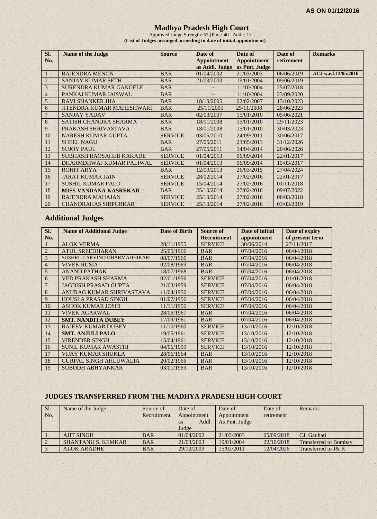#### **Madhya Pradesh High Court**

Approved Judge Strength: 53 [Pmt.: 40 Addl.: 13 ] **(List of Judges arranged according to date of initial appointment)**

| SI.<br>No.     | <b>Name of the Judge</b>         | <b>Source</b>  | Date of<br><b>Appointment</b><br>as Addl. Judge | Date of<br><b>Appointment</b><br>as Pmt. Judge | Date of<br>retirement | <b>Remarks</b>       |
|----------------|----------------------------------|----------------|-------------------------------------------------|------------------------------------------------|-----------------------|----------------------|
|                | <b>RAJENDRA MENON</b>            | <b>BAR</b>     | 01/04/2002                                      | 21/03/2003                                     | 06/06/2019            | ACJ w.e.f.13/05/2016 |
| $\overline{2}$ | <b>SANJAY KUMAR SETH</b>         | <b>BAR</b>     | 21/03/2003                                      | 19/01/2004                                     | 09/06/2019            |                      |
| 3              | <b>SURENDRA KUMAR GANGELE</b>    | <b>BAR</b>     |                                                 | 11/10/2004                                     | 25/07/2018            |                      |
| $\overline{4}$ | PANKAJ KUMAR JAISWAL             | <b>BAR</b>     |                                                 | 11/10/2004                                     | 23/09/2020            |                      |
| 5              | <b>RAVI SHANKER JHA</b>          | <b>BAR</b>     | 18/10/2005                                      | 02/02/2007                                     | 13/10/2023            |                      |
| 6              | <b>JITENDRA KUMAR MAHESHWARI</b> | <b>BAR</b>     | 25/11/2005                                      | 25/11/2008                                     | 28/06/2023            |                      |
|                | <b>SANJAY YADAV</b>              | <b>BAR</b>     | 02/03/2007                                      | 15/01/2010                                     | 05/06/2021            |                      |
| 8              | SATISH CHANDRA SHARMA            | <b>BAR</b>     | 18/01/2008                                      | 15/01/2010                                     | 29/11/2023            |                      |
| 9              | PRAKASH SHRIVASTAVA              | <b>BAR</b>     | 18/01/2008                                      | 15/01/2010                                     | 30/03/2023            |                      |
| 10             | <b>NARESH KUMAR GUPTA</b>        | <b>SERVICE</b> | 03/05/2010                                      | 24/09/2011                                     | 30/06/2017            |                      |
| 11             | <b>SHEEL NAGU</b>                | <b>BAR</b>     | 27/05/2011                                      | 23/05/2013                                     | 31/12/2026            |                      |
| 12             | <b>SUJOY PAUL</b>                | <b>BAR</b>     | 27/05/2011                                      | 14/04/2014                                     | 20/06/2026            |                      |
| 13             | <b>SUBHASH RAOSAHEB KAKADE</b>   | <b>SERVICE</b> | 01/04/2013                                      | 06/09/2014                                     | 22/01/2017            |                      |
| 14             | DHARMDHWAJ KUMAR PALIWAL         | <b>SERVICE</b> | 01/04/2013                                      | 06/09/2014                                     | 15/03/2017            |                      |
| 15             | ROHIT ARYA                       | <b>BAR</b>     | 12/09/2013                                      | 26/03/2015                                     | 27/04/2024            |                      |
| 16             | <b>JARAT KUMAR JAIN</b>          | <b>SERVICE</b> | 28/02/2014                                      | 27/02/2016                                     | 22/01/2017            |                      |
| 17             | <b>SUSHIL KUMAR PALO</b>         | <b>SERVICE</b> | 15/04/2014                                      | 27/02/2016                                     | 01/11/2018            |                      |
| 18             | <b>MISS VANDANA KASREKAR</b>     | <b>BAR</b>     | 25/10/2014                                      | 27/02/2016                                     | 09/07/2022            |                      |
| 19             | <b>RAJENDRA MAHAJAN</b>          | <b>SERVICE</b> | 25/10/2014                                      | 27/02/2016                                     | 06/03/2018            |                      |
| 20             | <b>CHANDRAHAS SIRPURKAR</b>      | <b>SERVICE</b> | 25/10/2014                                      | 27/02/2016                                     | 03/03/2019            |                      |

# **Additional Judges**

| SI.            | <b>Name of Additional Judge</b> | <b>Date of Birth</b> | <b>Source of</b>   | Date of initial | Date of expiry  |
|----------------|---------------------------------|----------------------|--------------------|-----------------|-----------------|
| No.            |                                 |                      | <b>Recruitment</b> | appointment     | of present term |
|                | <b>ALOK VERMA</b>               | 28/11/1955           | <b>SERVICE</b>     | 30/06/2014      | 27/11/2017      |
| $\overline{2}$ | <b>ATUL SREEDHARAN</b>          | 25/05/1966           | <b>BAR</b>         | 07/04/2016      | 06/04/2018      |
| 3              | SUSHRUT ARVIND DHARMADHIKARI    | 08/07/1966           | <b>BAR</b>         | 07/04/2016      | 06/04/2018      |
| $\overline{4}$ | <b>VIVEK RUSIA</b>              | 02/08/1969           | <b>BAR</b>         | 07/04/2016      | 06/04/2018      |
| 5              | <b>ANAND PATHAK</b>             | 18/07/1968           | <b>BAR</b>         | 07/04/2016      | 06/04/2018      |
| 6              | <b>VED PRAKASH SHARMA</b>       | 02/01/1956           | <b>SERVICE</b>     | 07/04/2016      | 01/01/2018      |
|                | <b>JAGDISH PRASAD GUPTA</b>     | 21/03/1959           | <b>SERVICE</b>     | 07/04/2016      | 06/04/2018      |
| 8              | ANURAG KUMAR SHRIVASTAVA        | 11/04/1956           | <b>SERVICE</b>     | 07/04/2016      | 06/04/2018      |
| 9              | <b>HOUSLA PRASAD SINGH</b>      | 01/07/1956           | <b>SERVICE</b>     | 07/04/2016      | 06/04/2018      |
| 10             | <b>ASHOK KUMAR JOSHI</b>        | 11/11/1956           | <b>SERVICE</b>     | 07/04/2016      | 06/04/2018      |
| 11             | <b>VIVEK AGARWAL</b>            | 28/06/1967           | <b>BAR</b>         | 07/04/2016      | 06/04/2018      |
| 12             | <b>SMT. NANDITA DUBEY</b>       | 17/09/1961           | <b>BAR</b>         | 07/04/2016      | 06/04/2018      |
| 13             | <b>RAJEEV KUMAR DUBEY</b>       | 11/10/1960           | <b>SERVICE</b>     | 13/10/2016      | 12/10/2018      |
| 14             | <b>SMT. ANJULI PALO</b>         | 19/05/1961           | <b>SERVICE</b>     | 13/10/2016      | 12/10/2018      |
| 15             | <b>VIRENDER SINGH</b>           | 15/04/1961           | <b>SERVICE</b>     | 13/10/2016      | 12/10/2018      |
| 16             | <b>SUNIL KUMAR AWASTHI</b>      | 04/06/1959           | <b>SERVICE</b>     | 13/10/2016      | 12/10/2018      |
| 17             | <b>VIJAY KUMAR SHUKLA</b>       | 28/06/1964           | <b>BAR</b>         | 13/10/2016      | 12/10/2018      |
| 18             | <b>GURPAL SINGH AHLUWALIA</b>   | 20/02/1966           | <b>BAR</b>         | 13/10/2016      | 12/10/2018      |
| 19             | <b>SUBODH ABHYANKAR</b>         | 03/01/1969           | <b>BAR</b>         | 13/10/2016      | 12/10/2018      |

# **JUDGES TRANSFERRED FROM THE MADHYA PRADESH HIGH COURT**

| Sl. | Name of the Judge         | Source of   | Date of     | Date of       | Date of    | <b>Remarks</b>               |
|-----|---------------------------|-------------|-------------|---------------|------------|------------------------------|
| No. |                           | Recruitment | Appointment | Appointment   | retirement |                              |
|     |                           |             | Addl.<br>as | As Pmt. Judge |            |                              |
|     |                           |             | Judge       |               |            |                              |
|     | <b>AJIT SINGH</b>         | <b>BAR</b>  | 01/04/2002  | 21/03/2003    | 05/09/2018 | CJ. Gauhati                  |
|     | <b>SHANTANU S. KEMKAR</b> | <b>BAR</b>  | 21/03/2003  | 19/01/2004    | 22/10/2018 | <b>Transferred to Bombay</b> |
|     | <b>ALOK ARADHE</b>        | <b>BAR</b>  | 29/12/2009  | 15/02/2011    | 12/04/2026 | Transferred to J& K          |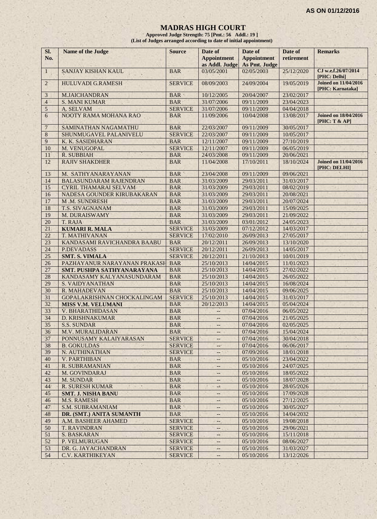#### **MADRAS HIGH COURT**

**Approved Judge Strength: 75 [Pmt.: 56 Addl.: 19 ] (List of Judges arranged according to date of initial appointment)**

| SI.<br>No.     | <b>Name of the Judge</b>      | <b>Source</b>  | Date of<br><b>Appointment</b><br>as Addl. Judge | Date of<br><b>Appointment</b><br>As Pmt. Judge | Date of<br>retirement | <b>Remarks</b>                                  |
|----------------|-------------------------------|----------------|-------------------------------------------------|------------------------------------------------|-----------------------|-------------------------------------------------|
| $\mathbf{1}$   | SANJAY KISHAN KAUL            | <b>BAR</b>     | 03/05/2001                                      | 02/05/2003                                     | 25/12/2020            | CJ w.e.f.26/07/2014<br>[PHC: Delhi]             |
| $2^{\circ}$    | <b>HULUVADI G.RAMESH</b>      | <b>SERVICE</b> | 08/09/2003                                      | 24/09/2004                                     | 19/05/2019            | <b>Joined on 11/04/2016</b><br>[PHC: Karnataka] |
| 3              | <b>M.JAICHANDRAN</b>          | <b>BAR</b>     | 10/12/2005                                      | 20/04/2007                                     | 23/02/2017            |                                                 |
| $\overline{4}$ | <b>S. MANI KUMAR</b>          | <b>BAR</b>     | 31/07/2006                                      | 09/11/2009                                     | 23/04/2023            |                                                 |
| 5              | A. SELVAM                     | <b>SERVICE</b> | 31/07/2006                                      | 09/11/2009                                     | 04/04/2018            |                                                 |
| 6              | NOOTY RAMA MOHANA RAO         | <b>BAR</b>     | 11/09/2006                                      | 10/04/2008                                     | 13/08/2017            | <b>Joined on 18/04/2016</b><br>[PHC: T & AP]    |
| $\overline{7}$ | SAMINATHAN NAGAMATHU          | <b>BAR</b>     | 22/03/2007                                      | 09/11/2009                                     | 30/05/2017            |                                                 |
| 8              | SHUNMUGAVEL PALANIVELU        | <b>SERVICE</b> | 22/03/2007                                      | 09/11/2009                                     | 10/05/2017            |                                                 |
| 9              | K. K. SASIDHARAN              | <b>BAR</b>     | 12/11/2007                                      | 09/11/2009                                     | 27/10/2019            |                                                 |
| 10             | M. VENUGOPAL                  | <b>SERVICE</b> | 12/11/2007                                      | 09/11/2009                                     | 06/05/2019            |                                                 |
| 11             | R. SUBBIAH                    | <b>BAR</b>     | 24/03/2008                                      | 09/11/2009                                     | 20/06/2021            |                                                 |
| 12             | <b>RAJIV SHAKDHER</b>         | <b>BAR</b>     | 11/04/2008                                      | 17/10/2011                                     | 18/10/2024            | <b>Joined on 11/04/2016</b><br>[PHC: DELHI]     |
| 13             | M. SATHYANARAYANAN            | <b>BAR</b>     | 23/04/2008                                      | 09/11/2009                                     | 09/06/2021            |                                                 |
| 14             | <b>BALASUNDARAM RAJENDRAN</b> | <b>BAR</b>     | 31/03/2009                                      | 29/03/2011                                     | 31/03/2017            |                                                 |
| 15             | <b>CYRIL THAMARAI SELVAM</b>  | <b>BAR</b>     | 31/03/2009                                      | 29/03/2011                                     | 08/02/2019            |                                                 |
| 16             | NADESA GOUNDER KIRUBAKARAN    | <b>BAR</b>     | 31/03/2009                                      | 29/03/2011                                     | 20/08/2021            |                                                 |
| 17             | <b>M.M. SUNDRESH</b>          | <b>BAR</b>     | 31/03/2009                                      | 29/03/2011                                     | 20/07/2024            |                                                 |
| 18             | T.S. SIVAGNANAM               | <b>BAR</b>     | 31/03/2009                                      | 29/03/2011                                     | 15/09/2025            |                                                 |
| 19             | M. DURAISWAMY                 | <b>BAR</b>     | 31/03/2009                                      | 29/03/2011                                     | 21/09/2022            |                                                 |
| 20             | T. RAJA                       | <b>BAR</b>     | 31/03/2009                                      | 03/01/2012                                     | 24/05/2023            |                                                 |
| 21             | <b>KUMARI R. MALA</b>         | <b>SERVICE</b> | 31/03/2009                                      | 07/12/2012                                     | 14/03/2017            |                                                 |
| 22             | T. MATHIVANAN                 | <b>SERVICE</b> | 17/02/2010                                      | 26/09/2013                                     | 27/05/2017            |                                                 |
| 23             | KANDASAMI RAVICHANDRA BAABU   | <b>BAR</b>     | 20/12/2011                                      | 26/09/2013                                     | 13/10/2020            |                                                 |
| 24             | <b>P.DEVADASS</b>             | <b>SERVICE</b> | 20/12/2011                                      | 26/09/2013                                     | 14/05/2017            |                                                 |
| 25             | <b>SMT. S. VIMALA</b>         | <b>SERVICE</b> | 20/12/2011                                      | 21/10/2013                                     | 10/01/2019            |                                                 |
| 26             | PAZHAYANUR NARAYANAN PRAKASH  | <b>BAR</b>     | 25/10/2013                                      | 14/04/2015                                     | 11/01/2023            |                                                 |
| 27             | SMT. PUSHPA SATHYANARAYANA    | <b>BAR</b>     | 25/10/2013                                      | 14/04/2015                                     | 27/02/2022            |                                                 |
| 28             | KANDASAMY KALYANASUNDARAM     | <b>BAR</b>     | 25/10/2013                                      | 14/04/2015                                     | 26/05/2022            |                                                 |
| 29             | <b>S. VAIDYANATHAN</b>        | <b>BAR</b>     | 25/10/2013                                      | 14/04/2015                                     | 16/08/2024            |                                                 |
| 30             | R. MAHADEVAN                  | <b>BAR</b>     | 25/10/2013                                      | 14/04/2015                                     | 09/06/2025            |                                                 |
| 31             | GOPALAKRISHNAN CHOCKALINGAM   | <b>SERVICE</b> | 25/10/2013                                      | 14/04/2015                                     | 31/03/2017            |                                                 |
| 32             | <b>MISS V.M. VELUMANI</b>     | <b>BAR</b>     | 20/12/2013                                      | 14/04/2015                                     | 05/04/2024            |                                                 |
| 33             | V. BHARATHIDASAN              | <b>BAR</b>     | $ -$                                            | 07/04/2016                                     | 06/05/2022            |                                                 |
| 34             | <b>D. KRISHNAKUMAR</b>        | <b>BAR</b>     | $-$                                             | 07/04/2016                                     | 21/05/2025            |                                                 |
| 35             | <b>S.S. SUNDAR</b>            | <b>BAR</b>     | $\qquad \qquad -$                               | 07/04/2016                                     | 02/05/2025            |                                                 |
| 36             | M.V. MURALIDARAN              | <b>BAR</b>     | --                                              | 07/04/2016                                     | 15/04/2024            |                                                 |
| 37             | PONNUSAMY KALAIYARASAN        | <b>SERVICE</b> |                                                 | 07/04/2016                                     | 30/04/2018            |                                                 |
| 38             | <b>B. GOKULDAS</b>            | <b>SERVICE</b> | $-4+$                                           | 07/04/2016                                     | 06/06/2017            |                                                 |
| 39             | N. AUTHINATHAN                | <b>SERVICE</b> |                                                 | 07/09/2016                                     | 18/01/2018            |                                                 |
| 40             | <b>V. PARTHIBAN</b>           | <b>BAR</b>     | $-1$                                            | 05/10/2016                                     | 23/04/2022            |                                                 |
| 41             | R. SUBRAMANIAN                | <b>BAR</b>     | $\overline{\phantom{a}}$                        | 05/10/2016                                     | 24/07/2025            |                                                 |
| 42             | M. GOVINDARAJ                 | <b>BAR</b>     | $- -$                                           | 05/10/2016                                     | 18/05/2022            |                                                 |
| 43             | M. SUNDAR                     | <b>BAR</b>     |                                                 | 05/10/2016                                     | 18/07/2028            |                                                 |
| 44             | <b>R. SURESH KUMAR</b>        | <b>BAR</b>     | - 3                                             | 05/10/2016                                     | 28/05/2026            |                                                 |
| 45             | <b>SMT. J. NISHA BANU</b>     | <b>BAR</b>     |                                                 | 05/10/2016                                     | 17/09/2028            |                                                 |
| 46             | <b>M.S. RAMESH</b>            | <b>BAR</b>     | $- -$                                           | 05/10/2016                                     | 27/12/2025            |                                                 |
| 47             | <b>S.M. SUBRAMANIAM</b>       | <b>BAR</b>     | $- -$                                           | 05/10/2016                                     | 30/05/2027            |                                                 |
| 48             | DR. (SMT.) ANITA SUMANTH      | <b>BAR</b>     | --                                              | 05/10/2016                                     | 14/04/2032            |                                                 |
| 49             | A.M. BASHEER AHAMED           | <b>SERVICE</b> | $\qquad \qquad -$                               | 05/10/2016                                     | 19/08/2018            |                                                 |
| 50             | <b>T. RAVINDRAN</b>           | <b>SERVICE</b> | $\qquad \qquad -$                               | 05/10/2016                                     | 29/06/2021            |                                                 |
| 51             | <b>S. BASKARAN</b>            | <b>SERVICE</b> | --                                              | 05/10/2016                                     | 15/11/2018            |                                                 |
| 52             | P. VELMURUGAN                 | <b>SERVICE</b> | $- -$                                           | 05/10/2016                                     | 08/06/2027            |                                                 |
| 53             | DR. G. JAYACHANDRAN           | <b>SERVICE</b> | $\overline{\phantom{a}}$                        | 05/10/2016                                     | 31/03/2027            |                                                 |
| 54             | C.V. KARTHIKEYAN              | <b>SERVICE</b> |                                                 | 05/10/2016                                     | 13/12/2026            |                                                 |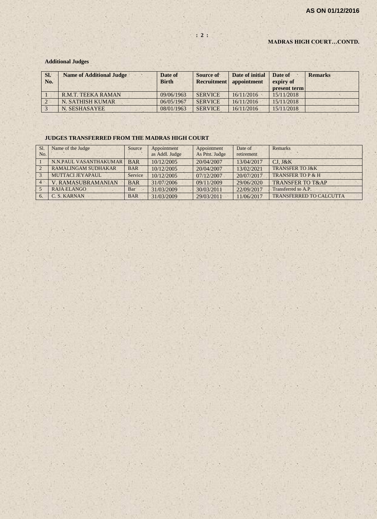#### **MADRAS HIGH COURT…CONTD.**

#### **Additional Judges**

| SI.<br>No. | <b>Name of Additional Judge</b> | Date of<br><b>Birth</b> | Source of<br><b>Recruitment</b> | Date of initial<br>appointment | Date of<br>expiry of<br>present term | <b>Remarks</b> |
|------------|---------------------------------|-------------------------|---------------------------------|--------------------------------|--------------------------------------|----------------|
|            | <b>R.M.T. TEEKA RAMAN</b>       | 09/06/1963              | <b>SERVICE</b>                  | 16/11/2016                     | 15/11/2018                           |                |
|            | N. SATHISH KUMAR                | 06/05/1967              | <b>SERVICE</b>                  | 16/11/2016                     | 15/11/2018                           |                |
|            | N. SESHASAYEE                   | 08/01/1963              | <b>SERVICE</b>                  | 16/11/2016                     | 15/11/2018                           |                |

#### **JUDGES TRANSFERRED FROM THE MADRAS HIGH COURT**

| S1. | Name of the Judge          | Source     | Appointment    | Appointment   | Date of    | <b>Remarks</b>                 |
|-----|----------------------------|------------|----------------|---------------|------------|--------------------------------|
| No. |                            |            | as Addl. Judge | As Pmt. Judge | retirement |                                |
|     | N.N.PAUL VASANTHAKUMAR     | <b>BAR</b> | 10/12/2005     | 20/04/2007    | 13/04/2017 | $CJ$ , $J&K$                   |
|     | <b>RAMALINGAM SUDHAKAR</b> | <b>BAR</b> | 10/12/2005     | 20/04/2007    | 13/02/2021 | <b>TRANSFER TO J&amp;K</b>     |
|     | MUTTACLJEYAPAUL            | Service    | 10/12/2005     | 07/12/2007    | 20/07/2017 | TRANSFER TO P & H              |
|     | <b>V. RAMASUBRAMANIAN</b>  | <b>BAR</b> | 31/07/2006     | 09/11/2009    | 29/06/2020 | <b>TRANSFER TO T&amp;AP</b>    |
|     | RAJA ELANGO                | Bar        | 31/03/2009     | 30/03/2011    | 22/09/2017 | Transferred to A.P.            |
|     | C. S. KARNAN               | <b>BAR</b> | 31/03/2009     | 29/03/2011    | 11/06/2017 | <b>TRANSFERRED TO CALCUTTA</b> |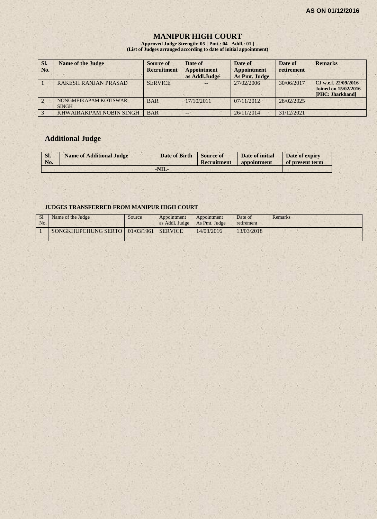# **MANIPUR HIGH COURT**

**Approved Judge Strength: 05 [ Pmt.: 04 Addl.: 01 ] (List of Judges arranged according to date of initial appointment)**

| SI.<br>No. | <b>Name of the Judge</b>              | Source of<br><b>Recruitment</b> | Date of<br><b>Appointment</b><br>as Addl.Judge | Date of<br><b>Appointment</b><br>As Pmt. Judge | Date of<br>retirement | <b>Remarks</b>                                                          |
|------------|---------------------------------------|---------------------------------|------------------------------------------------|------------------------------------------------|-----------------------|-------------------------------------------------------------------------|
|            | <b>RAKESH RANJAN PRASAD</b>           | <b>SERVICE</b>                  |                                                | 27/02/2006                                     | 30/06/2017            | CJ w.e.f. 22/09/2016<br><b>Joined on 15/02/2016</b><br>[PHC: Jharkhand] |
|            | NONGMEIKAPAM KOTISWAR<br><b>SINGH</b> | <b>BAR</b>                      | $-17/10/2011$                                  | 07/11/2012                                     | 28/02/2025            |                                                                         |
|            | KHWAIRAKPAM NOBIN SINGH               | <b>BAR</b>                      | --                                             | 26/11/2014                                     | 31/12/2021            |                                                                         |

# **Additional Judge**

| Sl.<br>No. | <b>Name of Additional Judge</b> | Date of Birth Source of | Recruitment | Date of initial<br>appointment | Date of expiry<br>of present term |
|------------|---------------------------------|-------------------------|-------------|--------------------------------|-----------------------------------|
|            |                                 | $-NIL$                  |             |                                |                                   |

#### **JUDGES TRANSFERRED FROM MANIPUR HIGH COURT**

| No. | Name of the Judge                          | Source | Appointment<br>as Addl. Judge   As Pmt. Judge | Appointment | Date of<br>retirement | Remarks |
|-----|--------------------------------------------|--------|-----------------------------------------------|-------------|-----------------------|---------|
|     | SONGKHUPCHUNG SERTO   01/03/1961   SERVICE |        |                                               | 14/03/2016  | 13/03/2018            |         |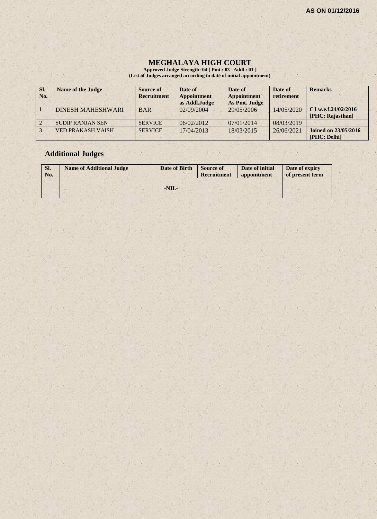$\mathcal{E} \times \mathcal{E}$ 

#### **MEGHALAYA HIGH COURT**

**Approved Judge Strength: 04 [ Pmt.: 03 Addl.: 01 ] (List of Judges arranged according to date of initial appointment)**

| SI.<br>No. | <b>Name of the Judge</b> | Source of<br><b>Recruitment</b> | Date of<br><b>Appointment</b><br>as Addl.Judge | Date of<br><b>Appointment</b><br>As Pmt. Judge | Date of<br>retirement | <b>Remarks</b>                              |
|------------|--------------------------|---------------------------------|------------------------------------------------|------------------------------------------------|-----------------------|---------------------------------------------|
|            | <b>DINESH MAHESHWARI</b> | <b>BAR</b>                      | 02/09/2004                                     | 29/05/2006                                     | 14/05/2020            | C.I w.e.f.24/02/2016<br>[PHC: Rajasthan]    |
|            | <b>SUDIP RANJAN SEN</b>  | <b>SERVICE</b>                  | 06/02/2012                                     | 07/01/2014                                     | 08/03/2019            |                                             |
|            | <b>VED PRAKASH VAISH</b> | <b>SERVICE</b>                  | 17/04/2013                                     | 18/03/2015                                     | 26/06/2021            | <b>Joined on 23/05/2016</b><br>[PHC: Delhi] |

 $(1 - 3)$ 

# **Additional Judges**

| SI.<br>No. | <b>Name of Additional Judge</b> | Date of Birth | <b>Source of</b><br><b>Recruitment</b> | Date of initial<br>appointment | Date of expiry<br>of present term |
|------------|---------------------------------|---------------|----------------------------------------|--------------------------------|-----------------------------------|
|            |                                 | $-NIL-$       |                                        |                                |                                   |

 $(1 - 1)$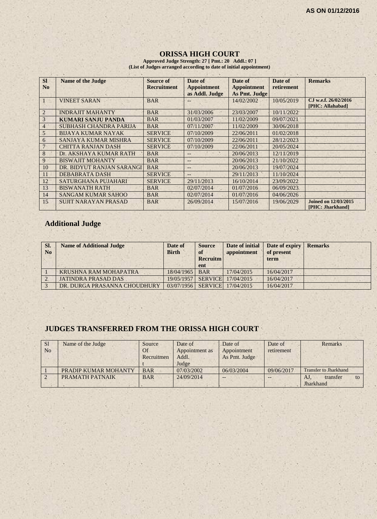# **ORISSA HIGH COURT**

**Approved Judge Strength: 27 [ Pmt.: 20 Addl.: 07 ] (List of Judges arranged according to date of initial appointment)**

| <b>SI</b>      | <b>Name of the Judge</b>      | Source of          | Date of            | Date of            | Date of    | <b>Remarks</b>                                  |
|----------------|-------------------------------|--------------------|--------------------|--------------------|------------|-------------------------------------------------|
| N <sub>0</sub> |                               | <b>Recruitment</b> | <b>Appointment</b> | <b>Appointment</b> | retirement |                                                 |
|                |                               |                    | as Addl. Judge     | As Pmt. Judge      |            |                                                 |
|                | <b>VINEET SARAN</b>           | <b>BAR</b>         | --                 | 14/02/2002         | 10/05/2019 | CJ w.e.f. 26/02/2016                            |
|                |                               |                    |                    |                    |            | [PHC: Allahabad]                                |
| $\overline{2}$ | <b>INDRAJIT MAHANTY</b>       | <b>BAR</b>         | 31/03/2006         | 23/03/2007         | 10/11/2022 |                                                 |
| 3              | <b>KUMARI SANJU PANDA</b>     | <b>BAR</b>         | 01/03/2007         | 11/02/2009         | 09/07/2021 |                                                 |
| $\overline{4}$ | <b>SUBHASH CHANDRA PARIJA</b> | <b>BAR</b>         | 07/11/2007         | 11/02/2009         | 30/06/2018 |                                                 |
| 5              | <b>BIJAYA KUMAR NAYAK</b>     | <b>SERVICE</b>     | 07/10/2009         | 22/06/2011         | 01/02/2018 |                                                 |
| 6              | SANJAYA KUMAR MISHRA          | <b>SERVICE</b>     | 07/10/2009         | 22/06/2011         | 28/12/2023 |                                                 |
|                | <b>CHITTA RANJAN DASH</b>     | <b>SERVICE</b>     | 07/10/2009         | 22/06/2011         | 20/05/2024 |                                                 |
| 8              | Dr. AKSHAYA KUMAR RATH        | <b>BAR</b>         | $-$                | 20/06/2013         | 12/11/2019 |                                                 |
| 9              | <b>BISWAJIT MOHANTY</b>       | <b>BAR</b>         | $-$                | 20/06/2013         | 21/10/2022 |                                                 |
| 10             | DR. BIDYUT RANJAN SARANGI     | <b>BAR</b>         | $-$                | 20/06/2013         | 19/07/2024 |                                                 |
| 11             | <b>DEBABRATA DASH</b>         | <b>SERVICE</b>     | $\qquad \qquad -$  | 29/11/2013         | 11/10/2024 |                                                 |
| 12             | SATURGHANA PUJAHARI           | <b>SERVICE</b>     | 29/11/2013         | 16/10/2014         | 23/09/2022 |                                                 |
| 13             | <b>BISWANATH RATH</b>         | <b>BAR</b>         | 02/07/2014         | 01/07/2016         | 06/09/2023 |                                                 |
| 14             | <b>SANGAM KUMAR SAHOO</b>     | <b>BAR</b>         | 02/07/2014         | 01/07/2016         | 04/06/2026 |                                                 |
| 15             | <b>SUJIT NARAYAN PRASAD</b>   | <b>BAR</b>         | 26/09/2014         | 15/07/2016         | 19/06/2029 | <b>Joined on 12/03/2015</b><br>[PHC: Jharkhand] |

# **Additional Judge**

| SI.<br>N <sub>0</sub> | <b>Name of Additional Judge</b> | Date of<br><b>Birth</b> | <b>Source</b><br>of<br><b>Recruitm</b><br>ent | Date of initial<br>appointment | Date of expiry<br>of present<br>term | <b>Remarks</b> |
|-----------------------|---------------------------------|-------------------------|-----------------------------------------------|--------------------------------|--------------------------------------|----------------|
|                       | KRUSHNA RAM MOHAPATRA           | 18/04/1965              | <b>BAR</b>                                    | 17/04/2015                     | 16/04/2017                           |                |
|                       | <b>JATINDRA PRASAD DAS</b>      | 19/05/1957              |                                               | SERVICE 17/04/2015             | 16/04/2017                           |                |
|                       | DR. DURGA PRASANNA CHOUDHURY    | 03/07/1956              |                                               | <b>SERVICE</b> 17/04/2015      | 16/04/2017                           |                |

# **JUDGES TRANSFERRED FROM THE ORISSA HIGH COURT**

| S <sub>1</sub> | Name of the Judge    | Source     | Date of        | Date of       | Date of    | Remarks                      |
|----------------|----------------------|------------|----------------|---------------|------------|------------------------------|
| N <sub>o</sub> |                      | Of         | Appointment as | Appointment   | retirement |                              |
|                |                      | Recruitmen | Addl.          | As Pmt. Judge |            |                              |
|                |                      |            | Judge          |               |            |                              |
|                | PRADIP KUMAR MOHANTY | <b>BAR</b> | 07/03/2002     | 06/03/2004    | 09/06/2017 | <b>Transfer to Jharkhand</b> |
|                | PRAMATH PATNAIK      | <b>BAR</b> | 24/09/2014     | --            |            | transfer<br>AJ.<br>to        |
|                |                      |            |                |               |            | Jharkhand                    |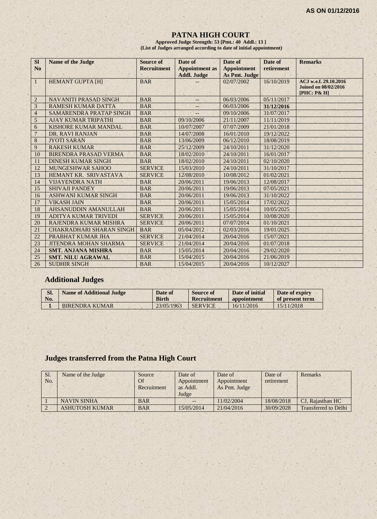#### **PATNA HIGH COURT**

**Approved Judge Strength: 53 [Pmt.: 40 Addl.: 13 ] (List of Judges arranged according to date of initial appointment)**

| <b>SI</b><br>N <sub>0</sub> | <b>Name of the Judge</b>        | Source of<br><b>Recruitment</b> | Date of<br><b>Appointment</b> as<br><b>Addl. Judge</b> | Date of<br><b>Appointment</b><br>As Pmt. Judge | Date of<br>retirement | <b>Remarks</b>                                                      |
|-----------------------------|---------------------------------|---------------------------------|--------------------------------------------------------|------------------------------------------------|-----------------------|---------------------------------------------------------------------|
| $\mathbf{1}$                | <b>HEMANT GUPTA [H]</b>         | <b>BAR</b>                      |                                                        | 02/07/2002                                     | 16/10/2019            | ACJ w.e.f. 29.10.2016<br><b>Joined on 08/02/2016</b><br>[PHC: P& H] |
| $\overline{2}$              | <b>NAVANITI PRASAD SINGH</b>    | <b>BAR</b>                      | --                                                     | 06/03/2006                                     | 05/11/2017            |                                                                     |
| 3                           | <b>RAMESH KUMAR DATTA</b>       | <b>BAR</b>                      | <u></u>                                                | 06/03/2006                                     | 31/12/2016            |                                                                     |
| $\overline{4}$              | SAMARENDRA PRATAP SINGH         | <b>BAR</b>                      |                                                        | 09/10/2006                                     | 31/07/2017            |                                                                     |
| 5                           | <b>AJAY KUMAR TRIPATHI</b>      | <b>BAR</b>                      | 09/10/2006                                             | 21/11/2007                                     | 11/11/2019            |                                                                     |
| 6                           | KISHORE KUMAR MANDAL            | <b>BAR</b>                      | 10/07/2007                                             | 07/07/2009                                     | 21/01/2018            |                                                                     |
| $\overline{7}$              | DR. RAVI RANJAN                 | <b>BAR</b>                      | 14/07/2008                                             | 16/01/2010                                     | 19/12/2022            |                                                                     |
| $\bf 8$                     | <b>JYOTI SARAN</b>              | <b>BAR</b>                      | 13/06/2009                                             | 06/12/2010                                     | 18/08/2019            |                                                                     |
| 9                           | <b>RAKESH KUMAR</b>             | <b>BAR</b>                      | 25/12/2009                                             | 24/10/2011                                     | 31/12/2020            |                                                                     |
| 10                          | BIRENDRA PRASAD VERMA           | <b>BAR</b>                      | 18/02/2010                                             | 24/10/2011                                     | 16/01/2017            |                                                                     |
| 11                          | <b>DINESH KUMAR SINGH</b>       | <b>BAR</b>                      | 18/02/2010                                             | 24/10/2011                                     | 02/10/2020            |                                                                     |
| 12                          | <b>MUNGESHWAR SAHOO</b>         | <b>SERVICE</b>                  | 15/03/2010                                             | 24/10/2011                                     | 31/10/2017            |                                                                     |
| 13                          | HEMANT KR. SRIVASTAVA           | <b>SERVICE</b>                  | 12/08/2010                                             | 10/08/2012                                     | 01/02/2021            |                                                                     |
| 14                          | <b>VIJAYENDRA NATH</b>          | <b>BAR</b>                      | 20/06/2011                                             | 19/06/2013                                     | 12/08/2017            |                                                                     |
| 15                          | <b>SHIVAJI PANDEY</b>           | <b>BAR</b>                      | 20/06/2011                                             | 19/06/2013                                     | 07/05/2021            |                                                                     |
| 16                          | <b>ASHWANI KUMAR SINGH</b>      | <b>BAR</b>                      | 20/06/2011                                             | 19/06/2013                                     | 31/10/2022            |                                                                     |
| 17                          | <b>VIKASH JAIN</b>              | <b>BAR</b>                      | 20/06/2011                                             | 15/05/2014                                     | 17/02/2022            |                                                                     |
| 18                          | <b>AHSANUDDIN AMANULLAH</b>     | <b>BAR</b>                      | 20/06/2011                                             | 15/05/2014                                     | 10/05/2025            |                                                                     |
| 19                          | <b>ADITYA KUMAR TRIVEDI</b>     | <b>SERVICE</b>                  | 20/06/2011                                             | 15/05/2014                                     | 10/08/2020            |                                                                     |
| 20                          | RAJENDRA KUMAR MISHRA           | <b>SERVICE</b>                  | 20/06/2011                                             | 07/07/2014                                     | 01/10/2021            |                                                                     |
| 21                          | <b>CHAKRADHARI SHARAN SINGH</b> | <b>BAR</b>                      | 05/04/2012                                             | 02/03/2016                                     | 19/01/2025            |                                                                     |
| 22                          | PRABHAT KUMAR JHA               | <b>SERVICE</b>                  | 21/04/2014                                             | 20/04/2016                                     | 15/07/2021            |                                                                     |
| 23                          | <b>JITENDRA MOHAN SHARMA</b>    | <b>SERVICE</b>                  | 21/04/2014                                             | 20/04/2016                                     | 01/07/2018            |                                                                     |
| 24                          | <b>SMT. ANJANA MISHRA</b>       | <b>BAR</b>                      | 15/05/2014                                             | 20/04/2016                                     | 29/02/2020            |                                                                     |
| 25                          | <b>SMT. NILU AGRAWAL</b>        | <b>BAR</b>                      | 15/04/2015                                             | 20/04/2016                                     | 21/06/2019            |                                                                     |
| 26                          | <b>SUDHIR SINGH</b>             | <b>BAR</b>                      | 15/04/2015                                             | 20/04/2016                                     | 10/12/2027            |                                                                     |

# **Additional Judges**

| SI. | <b>Name of Additional Judge</b> | Date of      | <b>Source of</b> | Date of initial | Date of expiry  |
|-----|---------------------------------|--------------|------------------|-----------------|-----------------|
| No. |                                 | <b>Birth</b> | Recruitment      | appointment     | of present term |
|     | BIRENDRA KUMAR                  | 23/05/1963   | <b>SERVICE</b>   | 16/11/2016      | 15/11/2018      |

# **Judges transferred from the Patna High Court**

| Sl.<br>No. | Name of the Judge     | Source<br>Of<br>Recruitment | Date of<br>Appointment<br>as Addl.<br>Judge | Date of<br>Appointment<br>As Pmt. Judge | Date of<br>retirement | Remarks                     |
|------------|-----------------------|-----------------------------|---------------------------------------------|-----------------------------------------|-----------------------|-----------------------------|
|            | <b>NAVIN SINHA</b>    | <b>BAR</b>                  |                                             | 11/02/2004                              | 18/08/2018            | CJ. Rajasthan HC            |
|            | <b>ASHUTOSH KUMAR</b> | <b>BAR</b>                  | 15/05/2014                                  | 21/04/2016                              | 30/09/2028            | <b>Transferred to Delhi</b> |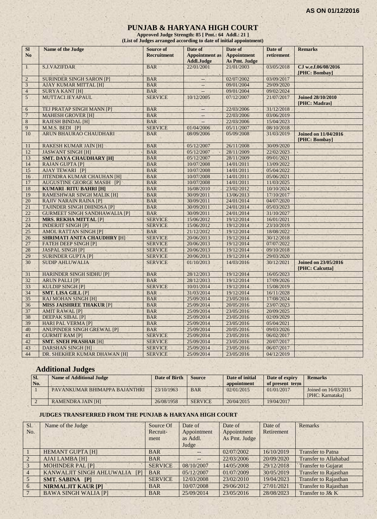#### **PUNJAB & HARYANA HIGH COURT**

**Approved Judge Strength: 85 [ Pmt.: 64 Addl.: 21 ] (List of Judges arranged according to date of initial appointment)**

| SI<br>N <sub>o</sub> | Name of the Judge                        | <b>Source of</b><br><b>Recruitment</b> | Date of<br><b>Appointment</b> as<br><b>Addl.Judge</b> | Date of<br><b>Appointment</b><br><b>As Pmt. Judge</b> | Date of<br>retirement | <b>Remarks</b>                                 |
|----------------------|------------------------------------------|----------------------------------------|-------------------------------------------------------|-------------------------------------------------------|-----------------------|------------------------------------------------|
| $\mathbf{1}$         | <b>S.J.VAZIFDAR</b>                      | <b>BAR</b><br>$1 - 4$                  | 22/01/2001                                            | 21/01/2003                                            | 03/05/2018            | CJ w.e.f.06/08/2016<br>[PHC: Bombay]           |
| $\overline{2}$       | <b>SURINDER SINGH SARON [P]</b>          | <b>BAR</b>                             | 44                                                    | 02/07/2002                                            | 03/09/2017            |                                                |
| $\mathfrak{Z}$       | <b>AJAY KUMAR MITTAL [H]</b>             | <b>BAR</b>                             |                                                       | 09/01/2004                                            | 29/09/2020            |                                                |
| $\overline{4}$       | <b>SURYA KANT [H]</b>                    | <b>BAR</b>                             | L.                                                    | 09/01/2004                                            | 09/02/2024            |                                                |
| $5^{\circ}$          | MUTTACI JEYAPAUL                         | <b>SERVICE</b>                         | 10/12/2005                                            | 07/12/2007                                            | 21/07/2017            | <b>Joined 28/10/2010</b><br>[PHC: Madras]      |
| 6                    | TEJ PRATAP SINGH MANN [P]                | <b>BAR</b>                             | $\overline{\phantom{a}}$                              | 22/03/2006                                            | 31/12/2018            |                                                |
| $\overline{7}$       | <b>MAHESH GROVER [H]</b>                 | <b>BAR</b>                             | $\cdots$                                              | 22/03/2006                                            | 03/06/2019            |                                                |
| 8                    | <b>RAJESH BINDAL [H]</b>                 | <b>BAR</b>                             | u.                                                    | 22/03/2006                                            | 15/04/2023            |                                                |
| 9                    | M.M.S. BEDI [P]                          | <b>SERVICE</b>                         | 01/04/2006                                            | 05/11/2007                                            | 08/10/2018            |                                                |
| 10                   | ARUN BHAURAO CHAUDHARI                   | <b>BAR</b>                             | 08/09/2006                                            | 05/09/2008                                            | 31/03/2019            | <b>Joined on 11/04/2016</b><br>[PHC: Bombay]   |
| 11                   | <b>RAKESH KUMAR JAIN [H]</b>             | <b>BAR</b>                             | 05/12/2007                                            | 26/11/2008                                            | 30/09/2020            |                                                |
| 12                   | <b>JASWANT SINGH [H]</b>                 | <b>BAR</b>                             | 05/12/2007                                            | 28/11/2009                                            | 22/02/2023            |                                                |
| 13                   | <b>SMT. DAYA CHAUDHARY [H]</b>           | <b>BAR</b>                             | 05/12/2007                                            | 28/11/2009                                            | 09/01/2021            |                                                |
| 14                   | <b>RAJAN GUPTA [P]</b>                   | <b>BAR</b>                             | 10/07/2008                                            | 14/01/2011                                            | 13/09/2022            |                                                |
| 15                   | <b>AJAY TEWARI [P]</b>                   | <b>BAR</b>                             | 10/07/2008                                            | 14/01/2011                                            | 05/04/2022            |                                                |
| 16                   | <b>JITENDRA KUMAR CHAUHAN [H]</b>        | <b>BAR</b>                             | 10/07/2008                                            | 14/01/2011                                            | 05/06/2021            |                                                |
| 17                   | <b>AUGUSTINE GEORGE MASIH [P]</b>        | <b>BAR</b>                             | 10/07/2008                                            | 14/01/2011                                            | 11/03/2025            |                                                |
| 18                   | <b>KUMARI RITU BAHRI [H]</b>             | <b>BAR</b>                             | 16/08/2010                                            | 23/02/2012                                            | 10/10/2024            |                                                |
| 19                   | <b>RAMESHWAR SINGH MALIK [H]</b>         | <b>BAR</b>                             | 30/09/2011                                            | 13/06/2013                                            | 17/10/2017            |                                                |
| 20                   | <b>RAJIV NARAIN RAINA [P]</b>            | <b>BAR</b>                             | 30/09/2011                                            | 24/01/2014                                            | 04/07/2020            |                                                |
| 21                   | <b>TAJINDER SINGH DHINDSA [P]</b>        | <b>BAR</b>                             | 30/09/2011                                            | 24/01/2014                                            | 05/03/2023            |                                                |
| 22                   | <b>GURMEET SINGH SANDHAWALIA [P]</b>     | <b>BAR</b>                             | 30/09/2011                                            | 24/01/2014                                            | 31/10/2027            |                                                |
| 23                   | <b>MRS. REKHA MITTAL [P]</b>             | <b>SERVICE</b>                         | 15/06/2012                                            | 19/12/2014                                            | 16/01/2021            |                                                |
| 24                   | <b>INDERJIT SINGH [P]</b>                | <b>SERVICE</b>                         | 15/06/2012                                            | 19/12/2014                                            | 23/10/2019            |                                                |
| 25                   | <b>AMOL RATTAN SINGH [P]</b>             | <b>BAR</b>                             | 21/12/2012                                            | 19/12/2014                                            | 18/08/2022            |                                                |
| 26                   | <b>SHRIMATI ANITA CHAUDHRY [H]</b>       | <b>SERVICE</b>                         | 20/06/2013                                            | 19/12/2014                                            | 30/12/2018            |                                                |
| 27                   | <b>FATEH DEEP SINGH [P]</b>              | <b>SERVICE</b>                         | 20/06/2013                                            | 19/12/2014                                            | 07/07/2022            |                                                |
| 28                   | <b>JASPAL SINGH [P]</b><br>$\mathcal{A}$ | <b>SERVICE</b>                         | 20/06/2013                                            | 19/12/2014                                            | 09/10/2018            |                                                |
| 29                   | <b>SURINDER GUPTA [P]</b>                | <b>SERVICE</b>                         | 20/06/2013                                            | 19/12/2014                                            | 29/03/2020            |                                                |
| 30                   | <b>SUDIP AHLUWALIA</b>                   | <b>SERVICE</b>                         | 01/10/2013                                            | 14/03/2016                                            | 30/12/2021            | <b>Joined on 23/05/2016</b><br>[PHC: Calcutta] |
| 31                   | HARINDER SINGH SIDHU [P]                 | <b>BAR</b>                             | 28/12/2013                                            | 19/12/2014                                            | 16/05/2023            |                                                |
| 32                   | <b>ARUN PALLI [P]</b>                    | <b>BAR</b>                             | 28/12/2013                                            | 19/12/2014                                            | 17/09/2026            |                                                |
| 33                   | <b>KULDIP SINGH [P]</b>                  | <b>SERVICE</b>                         | 10/01/2014                                            | 19/12/2014                                            | 15/08/2019            |                                                |
| 34                   | SMT. LISA GILL [P]                       | <b>BAR</b>                             | 31/03/2014                                            | 19/12/2014                                            | 16/11/2028            |                                                |
| 35                   | <b>RAJ MOHAN SINGH [H]</b>               | <b>BAR</b>                             | 25/09/2014                                            | 23/05/2016                                            | 17/08/2024            |                                                |
| 36                   | <b>MISS JAISHREE THAKUR [P]</b>          | <b>BAR</b>                             | 25/09/2014                                            | 20/05/2016                                            | 23/07/2023            |                                                |
| 37                   | <b>AMIT RAWAL [P]</b>                    | <b>BAR</b>                             | 25/09/2014                                            | 23/05/2016                                            | 20/09/2025            |                                                |
| 38                   | <b>DEEPAK SIBAL [P]</b>                  | <b>BAR</b>                             | 25/09/2014                                            | 23/05/2016                                            | 02/09/2029            |                                                |
| 39                   | <b>HARI PAL VERMA [P]</b>                | <b>BAR</b>                             | 25/09/2014                                            | 23/05/2016                                            | 05/04/2021            |                                                |
| 40                   | <b>ANUPINDER SINGH GREWAL [P]</b>        | <b>BAR</b>                             | 25/09/2014                                            | 20/05/2016                                            | 09/03/2026            |                                                |
| 41                   | <b>GURMIT RAM [P]</b>                    | <b>SERVICE</b>                         | 25/09/2014                                            | 23/05/2016                                            | 06/02/2017            |                                                |
| 42                   | <b>SMT. SNEH PRASHAR [H]</b>             | <b>SERVICE</b>                         | 25/09/2014                                            | 23/05/2016                                            | 20/07/2017            |                                                |
| 43                   | <b>DARSHAN SINGH [H]</b>                 | <b>SERVICE</b>                         | 25/09/2014                                            | 23/05/2016                                            | 06/07/2017            |                                                |
| 44                   | DR. SHEKHER KUMAR DHAWAN [H]             | <b>SERVICE</b>                         | 25/09/2014                                            | 23/05/2016                                            | 04/12/2019            |                                                |

# **Additional Judges**

| SI.<br>No. | <b>Name of Additional Judge</b> | Date of Birth | <b>Source</b>  | Date of initial<br>appointment | Date of expiry<br>of present term | <b>Remarks</b>                           |
|------------|---------------------------------|---------------|----------------|--------------------------------|-----------------------------------|------------------------------------------|
|            | PAVANKUMAR BHIMAPPA BAJANTHRI   | 23/10/1963    | <b>BAR</b>     | 02/01/2015                     | 01/01/2017                        | Joined on 16/03/2015<br>[PHC: Karnataka] |
|            | <b>RAMENDRA JAIN [H]</b>        | 26/08/1958    | <b>SERVICE</b> | 20/04/2015                     | 19/04/2017                        |                                          |

#### **JUDGES TRANSFERRED FROM THE PUNJAB & HARYANA HIGH COURT**

| Sl.            | Name of the Judge                | Source Of      | Date of           | Date of       | Date of    | <b>Remarks</b>               |
|----------------|----------------------------------|----------------|-------------------|---------------|------------|------------------------------|
| No.            |                                  | Recruit-       | Appointment       | Appointment   | Retirement |                              |
|                |                                  | ment           | as Addl.          | As Pmt. Judge |            |                              |
|                |                                  |                | Judge             |               |            |                              |
|                | <b>HEMANT GUPTA [H]</b>          | <b>BAR</b>     | $\qquad \qquad -$ | 02/07/2002    | 16/10/2019 | <b>Transfer to Patna</b>     |
| $\sqrt{2}$     | <b>AJAI LAMBA [H]</b>            | <b>BAR</b>     |                   | 22/03/2006    | 20/09/2020 | <b>Transfer to Allahabad</b> |
| $\overline{3}$ | <b>MOHINDER PAL [P]</b>          | <b>SERVICE</b> | 08/10/2007        | 14/05/2008    | 29/12/2018 | Transfer to Gujarat          |
| $\overline{4}$ | KANWALJIT SINGH AHLUWALIA<br>[P] | <b>BAR</b>     | 05/12/2007        | 01/07/2009    | 30/05/2019 | <b>Transfer to Rajasthan</b> |
| 5 <sup>7</sup> | <b>SMT. SABINA [P]</b>           | <b>SERVICE</b> | 12/03/2008        | 23/02/2010    | 19/04/2023 | <b>Transfer to Rajasthan</b> |
| 6              | <b>NIRMALJIT KAUR [P]</b>        | <b>BAR</b>     | 10/07/2008        | 29/06/2012    | 27/01/2021 | <b>Transfer to Rajasthan</b> |
|                | <b>BAWA SINGH WALIA [P]</b>      | <b>BAR</b>     | 25/09/2014        | 23/05/2016    | 28/08/2023 | Transfer to J& K             |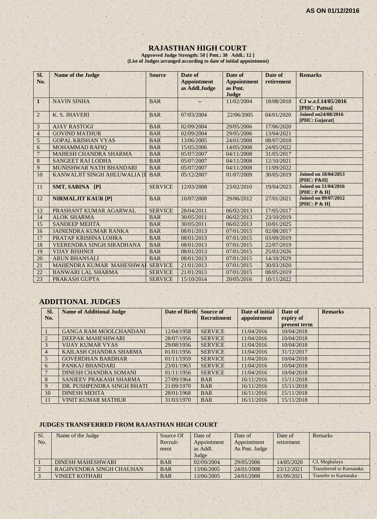#### **RAJASTHAN HIGH COURT**

**Approved Judge Strength: 50 [ Pmt.: 38 Addl.: 12 ] (List of Judges arranged according to date of initial appointment)**

| SI.<br>No.     | <b>Name of the Judge</b>         | <b>Source</b>  | Date of<br><b>Appointment</b><br>as Addl.Judge | Date of<br><b>Appointment</b><br>as Pmt.<br>Judge | Date of<br>retirement | <b>Remarks</b>                               |
|----------------|----------------------------------|----------------|------------------------------------------------|---------------------------------------------------|-----------------------|----------------------------------------------|
| $\mathbf{1}$   | <b>NAVIN SINHA</b>               | <b>BAR</b>     |                                                | 11/02/2004                                        | 18/08/2018            | CJ w.e.f.14/05/2016<br>[PHC: Patna]          |
| $\overline{c}$ | K. S. JHAVERI                    | <b>BAR</b>     | 07/03/2004                                     | 22/06/2005                                        | 04/01/2020            | <b>Joined on24/08/2016</b><br>[PHC: Gujarat] |
| 3              | <b>AJAY RASTOGI</b>              | <b>BAR</b>     | 02/09/2004                                     | 29/05/2006                                        | 17/06/2020            |                                              |
| $\overline{4}$ | <b>GOVIND MATHUR</b>             | <b>BAR</b>     | 02/09/2004                                     | 29/05/2006                                        | 13/04/2021            |                                              |
| $\sqrt{5}$     | <b>GOPAL KRISHAN VYAS</b>        | <b>BAR</b>     | 13/06/2005                                     | 24/01/2008                                        | 08/07/2018            |                                              |
| 6              | <b>MOHAMMAD RAFIO</b>            | <b>BAR</b>     | 15/05/2006                                     | 14/05/2008                                        | 24/05/2022            |                                              |
| $\overline{7}$ | <b>MAHESH CHANDRA SHARMA</b>     | <b>BAR</b>     | 05/07/2007                                     | 04/11/2008                                        | 31/05/2017            |                                              |
| 8              | <b>SANGEET RAJ LODHA</b>         | <b>BAR</b>     | 05/07/2007                                     | 04/11/2008                                        | 12/10/2021            |                                              |
| $\overline{9}$ | MUNISHWAR NATH BHANDARI          | <b>BAR</b>     | 05/07/2007                                     | 04/11/2008                                        | 11/09/2022            |                                              |
| 10             | KANWALJIT SINGH AHLUWALIA [I     | <b>BAR</b>     | 05/12/2007                                     | 01/07/2009                                        | 30/05/2019            | <b>Joined on 18/04/2013</b><br>[PHC: P&H]    |
| 11             | SMT. SABINA [P]                  | <b>SERVICE</b> | 12/03/2008                                     | 23/02/2010                                        | 19/04/2023            | <b>Joined on 11/04/2016</b><br>[PHC: P & H]  |
| 12             | <b>NIRMALJIT KAUR [P]</b>        | <b>BAR</b>     | 10/07/2008                                     | 29/06/2012                                        | 27/01/2021            | <b>Joined on 09/07/2012</b><br>[PHC: P & H]  |
| 13             | PRASHANT KUMAR AGARWAL           | <b>SERVICE</b> | 28/04/2011                                     | 06/02/2013                                        | 17/05/2017            |                                              |
| 14             | <b>ALOK SHARMA</b>               | <b>BAR</b>     | 30/05/2011                                     | 06/02/2013                                        | 23/10/2019            |                                              |
| 15             | <b>SANDEEP MEHTA</b>             | <b>BAR</b>     | 30/05/2011                                     | 06/02/2013                                        | 10/01/2025            |                                              |
| 16             | <b>JAINENDRA KUMAR RANKA</b>     | <b>BAR</b>     | 08/01/2013                                     | 07/01/2015                                        | 02/08/2017            |                                              |
| 17             | PRATAP KRISHNA LOHRA             | <b>BAR</b>     | 08/01/2013                                     | 07/01/2015                                        | 03/09/2019            |                                              |
| 18             | <b>VEERENDRA SINGH SIRADHANA</b> | <b>BAR</b>     | 08/01/2013                                     | 07/01/2015                                        | 22/07/2019            |                                              |
| 19             | <b>VIJAY BISHNOI</b>             | <b>BAR</b>     | 08/01/2013                                     | 07/01/2015                                        | 25/03/2026            | и.                                           |
| 20             | <b>ARUN BHANSALI</b>             | <b>BAR</b>     | 08/01/2013                                     | 07/01/2015                                        | 14/10/2029            |                                              |
| 21             | MAHENDRA KUMAR MAHESHWAI         | <b>SERVICE</b> | 21/01/2013                                     | 07/01/2015                                        | 30/03/2020            |                                              |
| 22             | <b>BANWARI LAL SHARMA</b>        | <b>SERVICE</b> | 21/01/2013                                     | 07/01/2015                                        | 08/05/2019            |                                              |
| 23             | PRAKASH GUPTA                    | <b>SERVICE</b> | 15/10/2014                                     | 20/05/2016                                        | 10/11/2022            |                                              |

# **ADDITIONAL JUDGES**

| SI.<br>No.     | <b>Name of Additional Judge</b> | Date of Birth Source of | <b>Recruitment</b> | Date of initial<br>appointment | Date of<br>expiry of | <b>Remarks</b> |
|----------------|---------------------------------|-------------------------|--------------------|--------------------------------|----------------------|----------------|
|                |                                 |                         |                    |                                | present term         |                |
|                | <b>GANGA RAM MOOLCHANDANI</b>   | 12/04/1958              | <b>SERVICE</b>     | 11/04/2016                     | 10/04/2018           |                |
| $\overline{2}$ | DEEPAK MAHESHWARI               | 28/07/1956              | <b>SERVICE</b>     | 11/04/2016                     | 10/04/2018           |                |
|                | <b>VIJAY KUMAR VYAS</b>         | 29/08/1956              | <b>SERVICE</b>     | 11/04/2016                     | 10/04/2018           |                |
| $\overline{4}$ | KAILASH CHANDRA SHARMA          | 01/01/1956              | <b>SERVICE</b>     | 11/04/2016                     | 31/12/2017           |                |
| $5 -$          | <b>GOVERDHAN BARDHAR</b>        | 01/11/1959              | <b>SERVICE</b>     | 11/04/2016                     | 10/04/2018           |                |
| 6              | PANKAJ BHANDARI                 | 23/01/1963              | <b>SERVICE</b>     | 11/04/2016                     | 10/04/2018           |                |
|                | DINESH CHANDRA SOMANI           | 01/11/1956              | <b>SERVICE</b>     | 11/04/2016                     | 10/04/2018           |                |
| 8              | SANJEEV PRAKASH SHARMA          | 27/09/1964              | <b>BAR</b>         | 16/11/2016                     | 15/11/2018           |                |
| 9              | DR. PUSHPENDRA SINGH BHATI      | 21/09/1970              | <b>BAR</b>         | 16/11/2016                     | 15/11/2018           |                |
| 10             | <b>DINESH MEHTA</b>             | 28/01/1968              | <b>BAR</b>         | 16/11/2016                     | 15/11/2018           |                |
| <sup>11</sup>  | <b>VINIT KUMAR MATHUR</b>       | 31/03/1970              | <b>BAR</b>         | 16/11/2016                     | 15/11/2018           |                |

#### **JUDGES TRANSFERRED FROM RAJASTHAN HIGH COURT**

| Sl. | Name of the Judge        | Source Of  | Date of     | Date of       | Date of    | <b>Remarks</b>                  |
|-----|--------------------------|------------|-------------|---------------|------------|---------------------------------|
| No. |                          | Recruit-   | Appointment | Appointment   | retirement |                                 |
|     |                          | ment       | as Addl.    | As Pmt. Judge |            |                                 |
|     |                          |            | Judge       |               |            |                                 |
|     | <b>DINESH MAHESHWARI</b> | <b>BAR</b> | 02/09/2004  | 29/05/2006    | 14/05/2020 | CJ, Meghalaya                   |
|     | RAGHVENDRA SINGH CHAUHAN | <b>BAR</b> | 13/06/2005  | 24/01/2008    | 23/12/2021 | <b>Transferred to Karnataka</b> |
|     | <b>VINEET KOTHARI</b>    | <b>BAR</b> | 13/06/2005  | 24/01/2008    | 01/09/2021 | <b>Transfer to Karnataka</b>    |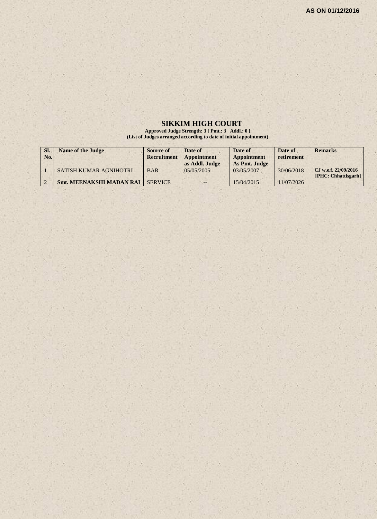#### **SIKKIM HIGH COURT**

**Approved Judge Strength: 3 [ Pmt.: 3 Addl.: 0 ] (List of Judges arranged according to date of initial appointment)**

| SI.<br>No. | <b>Name of the Judge</b>        | Source of<br>Recruitment | Date of<br>Appointment<br>as Addl. Judge | Date of<br><b>Appointment</b><br>As Pmt. Judge | Date of<br>retirement | <b>Remarks</b>                              |
|------------|---------------------------------|--------------------------|------------------------------------------|------------------------------------------------|-----------------------|---------------------------------------------|
|            | SATISH KUMAR AGNIHOTRI          | <b>BAR</b>               | 0.5/0.5/200.5                            | 03/05/2007                                     | 30/06/2018            | CJ w.e.f. 22/09/2016<br>[PHC: Chhattisgarh] |
|            | <b>Smt. MEENAKSHI MADAN RAI</b> | <b>SERVICE</b>           | $- -$                                    | 15/04/2015                                     | 11/07/2026            |                                             |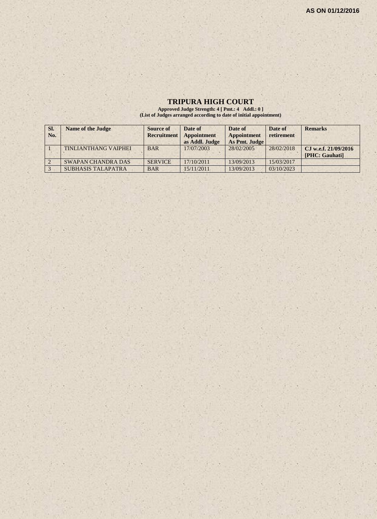#### **TRIPURA HIGH COURT**

**Approved Judge Strength: 4 [ Pmt.: 4 Addl.: 0 ] (List of Judges arranged according to date of initial appointment)**

| SI. | Name of the Judge           | Source of          | Date of        | Date of            | Date of    | <b>Remarks</b>         |
|-----|-----------------------------|--------------------|----------------|--------------------|------------|------------------------|
| No. |                             | <b>Recruitment</b> | Appointment    | <b>Appointment</b> | retirement |                        |
|     |                             |                    | as Addl. Judge | As Pmt. Judge      |            |                        |
|     | <b>TINLIANTHANG VAIPHEI</b> | <b>BAR</b>         | 17/07/2003     | 28/02/2005         | 28/02/2018 | CJ w.e.f. $21/09/2016$ |
|     |                             |                    |                |                    |            | [PHC: Gauhati]         |
|     | <b>SWAPAN CHANDRA DAS</b>   | <b>SERVICE</b>     | 17/10/2011     | 13/09/2013         | 15/03/2017 |                        |
|     | <b>SUBHASIS TALAPATRA</b>   | <b>BAR</b>         | 15/11/2011     | 13/09/2013         | 03/10/2023 |                        |